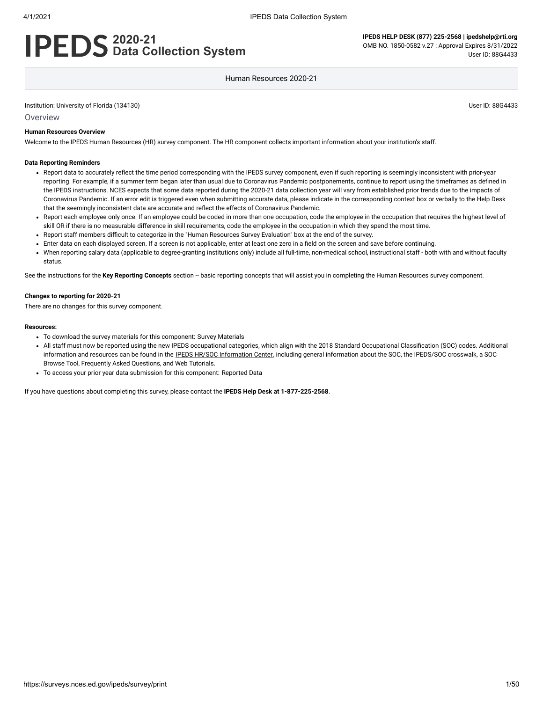# **2020-21 Data Collection System**

Human Resources 2020-21

Institution: University of Florida (134130) User ID: 88G4433

Overview

#### **Human Resources Overview**

Welcome to the IPEDS Human Resources (HR) survey component. The HR component collects important information about your institution's staff.

#### **Data Reporting Reminders**

- Report data to accurately reflect the time period corresponding with the IPEDS survey component, even if such reporting is seemingly inconsistent with prior-year reporting. For example, if a summer term began later than usual due to Coronavirus Pandemic postponements, continue to report using the timeframes as defined in the IPEDS instructions. NCES expects that some data reported during the 2020-21 data collection year will vary from established prior trends due to the impacts of Coronavirus Pandemic. If an error edit is triggered even when submitting accurate data, please indicate in the corresponding context box or verbally to the Help Desk that the seemingly inconsistent data are accurate and reflect the effects of Coronavirus Pandemic.
- Report each employee only once. If an employee could be coded in more than one occupation, code the employee in the occupation that requires the highest level of skill OR if there is no measurable difference in skill requirements, code the employee in the occupation in which they spend the most time.
- Report staff members difficult to categorize in the "Human Resources Survey Evaluation" box at the end of the survey.
- Enter data on each displayed screen. If a screen is not applicable, enter at least one zero in a field on the screen and save before continuing.
- When reporting salary data (applicable to degree-granting institutions only) include all full-time, non-medical school, instructional staff both with and without faculty status.

See the instructions for the Key Reporting Concepts section -- basic reporting concepts that will assist you in completing the Human Resources survey component.

#### **Changes to reporting for 2020-21**

There are no changes for this survey component.

#### **Resources:**

- To download the survey materials for this component: Survey [Materials](https://surveys.nces.ed.gov/ipeds/public/survey-materials/index)
- All staff must now be reported using the new IPEDS occupational categories, which align with the 2018 Standard Occupational Classification (SOC) codes. Additional information and resources can be found in the IPEDS HR/SOC [Information Center,](https://nces.ed.gov/ipeds/report-your-data/taxonomies-standard-occupational-classification-soc-codes) including general information about the SOC, the IPEDS/SOC crosswalk, a SOC Browse Tool, Frequently Asked Questions, and Web Tutorials.
- To access your prior year data submission for this component: [Reported Data](https://surveys.nces.ed.gov/IPEDS_py/DataForms.aspx?f0e9e4efc4dfb8acaeafacaeaba1eef0edf1e0f4c4dfb8aca1f0eee0edc4dfb8b3b3c2afafaeaea1f0e9e4efc9dce8e0b8d0e9e4f1e0edeee4eff49beae19bc1e7eaede4dfdca1ebedeadee0eeeeb8e0f3efe0ede9dce7a1eddfefb8afaaacaaadabadac9bacacb5acb4b5acb39bbcc8)

If you have questions about completing this survey, please contact the **IPEDS Help Desk at 1-877-225-2568**.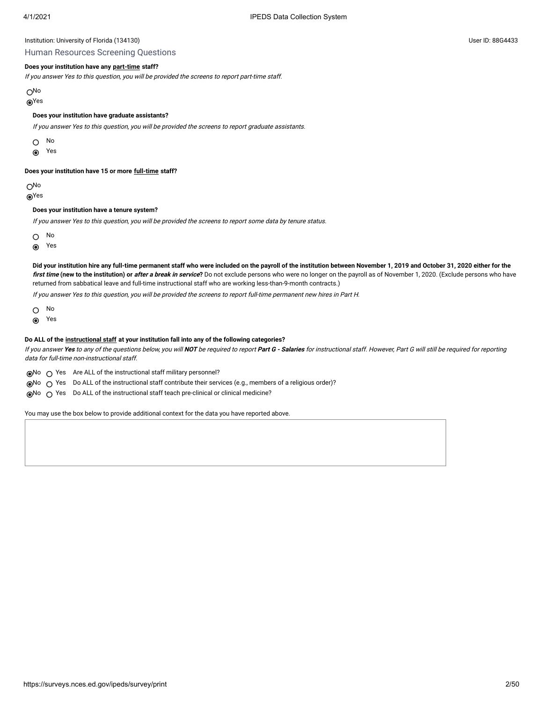Human Resources Screening Questions

#### **Does your institution have any [part-time](javascript:openglossary(467)) staff?**

If you answer Yes to this question, you will be provided the screens to report part-time staff.

No

Yes

#### **Does your institution have graduate assistants?**

If you answer Yes to this question, you will be provided the screens to report graduate assistants.

O No

 $\odot$ Yes

#### **Does your institution have 15 or more [full-time](javascript:openglossary(257)) staff?**

No

Yes

#### **Does your institution have a tenure system?**

If you answer Yes to this question, you will be provided the screens to report some data by tenure status.

No

Yes  $\odot$ 

**Did your institution hire any full-time permanent staff who were included on the payroll of the institution between November 1, 2019 and October 31, 2020 either for the** first time (new to the institution) or after a break in service? Do not exclude persons who were no longer on the payroll as of November 1, 2020. (Exclude persons who have returned from sabbatical leave and full-time instructional staff who are working less-than-9-month contracts.)

If you answer Yes to this question, you will be provided the screens to report full-time permanent new hires in Part H.

 $\circ$ No

 $\odot$ Yes

#### **Do ALL of the [instructional staff](javascript:openglossary(996)) at your institution fall into any of the following categories?**

If you answer **Yes** to any of the questions below, you will **NOT** be required to report **Part G - Salaries** for instructional staff. However, Part G will still be required for reporting data for full-time non-instructional staff.

 $\odot$ No  $\odot$  Yes Are ALL of the instructional staff military personnel?

 $\odot$ No  $\bigcirc$  Yes Do ALL of the instructional staff contribute their services (e.g., members of a religious order)?

∩No ∩ Yes Do ALL of the instructional staff teach pre-clinical or clinical medicine?

You may use the box below to provide additional context for the data you have reported above.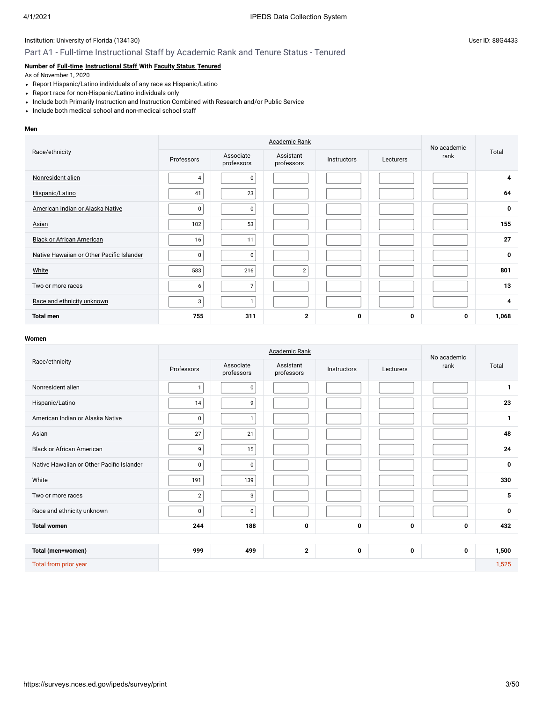# Part A1 - Full-time Instructional Staff by Academic Rank and Tenure Status - Tenured

# **Number of [Full-time](javascript:openglossary(257)) [Instructional Staff](javascript:openglossary(996)) With [Faculty Status](javascript:openglossary(1009)) [Tenured](javascript:openglossary(639))**

As of November 1, 2020

- Report Hispanic/Latino individuals of any race as Hispanic/Latino
- Report race for non-Hispanic/Latino individuals only
- Include both Primarily Instruction and Instruction Combined with Research and/or Public Service
- Include both medical school and non-medical school staff

#### **Men**

|                                           |                | No academic             |                         |             |           |      |             |
|-------------------------------------------|----------------|-------------------------|-------------------------|-------------|-----------|------|-------------|
| Race/ethnicity                            | Professors     | Associate<br>professors | Assistant<br>professors | Instructors | Lecturers | rank | Total       |
| Nonresident alien                         | $\overline{4}$ | 0                       |                         |             |           |      | 4           |
| Hispanic/Latino                           | 41             | 23                      |                         |             |           |      | 64          |
| American Indian or Alaska Native          | $\pmb{0}$      | $\pmb{0}$               |                         |             |           |      | $\mathbf 0$ |
| Asian                                     | 102            | 53                      |                         |             |           |      | 155         |
| <b>Black or African American</b>          | 16             | 11                      |                         |             |           |      | 27          |
| Native Hawaiian or Other Pacific Islander | 0              | 0                       |                         |             |           |      | $\mathbf 0$ |
| White                                     | 583            | 216                     | $\overline{2}$          |             |           |      | 801         |
| Two or more races                         | 6              | $\overline{7}$          |                         |             |           |      | 13          |
| Race and ethnicity unknown                | 3              | $\mathbf{1}$            |                         |             |           |      | 4           |
| <b>Total men</b>                          | 755            | 311                     | $\mathbf{2}$            | 0           | 0         | 0    | 1,068       |

|                                           |              | No academic             |                         |             |           |      |              |
|-------------------------------------------|--------------|-------------------------|-------------------------|-------------|-----------|------|--------------|
| Race/ethnicity                            | Professors   | Associate<br>professors | Assistant<br>professors | Instructors | Lecturers | rank | Total        |
| Nonresident alien                         | $\mathbf{1}$ | $\mathsf 0$             |                         |             |           |      | $\mathbf{1}$ |
| Hispanic/Latino                           | 14           | 9                       |                         |             |           |      | 23           |
| American Indian or Alaska Native          | $\pmb{0}$    | $\overline{1}$          |                         |             |           |      | $\mathbf{1}$ |
| Asian                                     | 27           | 21                      |                         |             |           |      | 48           |
| <b>Black or African American</b>          | 9            | 15                      |                         |             |           |      | 24           |
| Native Hawaiian or Other Pacific Islander | $\mathsf 0$  | $\mathsf 0$             |                         |             |           |      | 0            |
| White                                     | 191          | 139                     |                         |             |           |      | 330          |
| Two or more races                         | $\sqrt{2}$   | 3                       |                         |             |           |      | 5            |
| Race and ethnicity unknown                | 0            | $\mathbf 0$             |                         |             |           |      | $\bf{0}$     |
| <b>Total women</b>                        | 244          | 188                     | 0                       | 0           | 0         | 0    | 432          |
|                                           |              |                         |                         |             |           |      |              |
| Total (men+women)                         | 999          | 499                     | $\mathbf{2}$            | 0           | 0         | 0    | 1,500        |
| Total from prior year                     |              |                         |                         |             |           |      | 1,525        |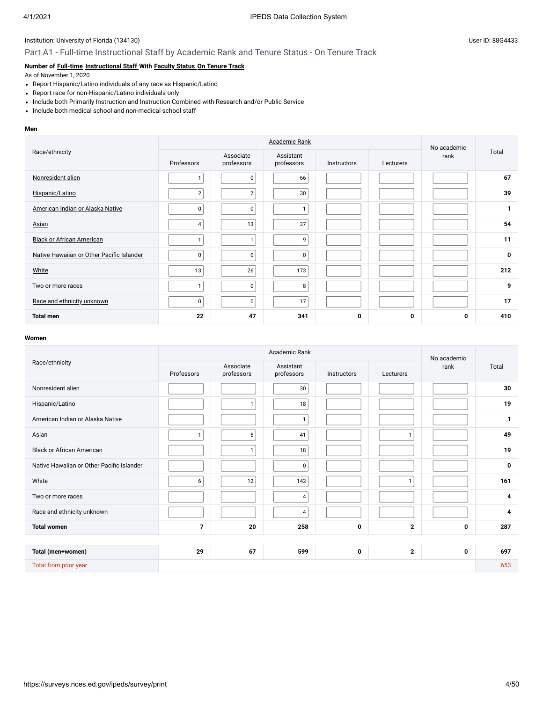# Part A1 - Full-time Instructional Staff by Academic Rank and Tenure Status - On Tenure Track

## **Number of [Full-time](javascript:openglossary(257)) [Instructional Staff](javascript:openglossary(996)) With [Faculty Status](javascript:openglossary(1009)) [On Tenure Track](javascript:openglossary(641))**

As of November 1, 2020

- Report Hispanic/Latino individuals of any race as Hispanic/Latino
- Report race for non-Hispanic/Latino individuals only
- Include both Primarily Instruction and Instruction Combined with Research and/or Public Service
- Include both medical school and non-medical school staff

#### **Men**

|                                           |                |                         | No academic             |             |           |      |              |
|-------------------------------------------|----------------|-------------------------|-------------------------|-------------|-----------|------|--------------|
| Race/ethnicity                            | Professors     | Associate<br>professors | Assistant<br>professors | Instructors | Lecturers | rank | Total        |
| Nonresident alien                         | $\mathbf{I}$   | $\mathbf 0$             | 66                      |             |           |      | 67           |
| Hispanic/Latino                           | $\overline{2}$ | $\overline{7}$          | 30                      |             |           |      | 39           |
| American Indian or Alaska Native          | $\pmb{0}$      | $\pmb{0}$               |                         |             |           |      | $\mathbf{1}$ |
| Asian                                     | 4              | 13                      | 37                      |             |           |      | 54           |
| <b>Black or African American</b>          | $\mathbf{I}$   |                         | 9                       |             |           |      | 11           |
| Native Hawaiian or Other Pacific Islander | 0              | 0                       | $\mathbf 0$             |             |           |      | $\mathbf 0$  |
| White                                     | 13             | 26                      | 173                     |             |           |      | 212          |
| Two or more races                         | $\mathbf{1}$   | 0                       | 8                       |             |           |      | 9            |
| Race and ethnicity unknown                | 0              | $\overline{0}$          | 17                      |             |           |      | 17           |
| <b>Total men</b>                          | 22             | 47                      | 341                     | 0           | 0         | 0    | 410          |

|                                           |                |                         | Academic Rank           |             |              | No academic |              |
|-------------------------------------------|----------------|-------------------------|-------------------------|-------------|--------------|-------------|--------------|
| Race/ethnicity                            | Professors     | Associate<br>professors | Assistant<br>professors | Instructors | Lecturers    | rank        | Total        |
| Nonresident alien                         |                |                         | 30                      |             |              |             | 30           |
| Hispanic/Latino                           |                | 1                       | 18                      |             |              |             | 19           |
| American Indian or Alaska Native          |                |                         | $\mathbf{1}$            |             |              |             | $\mathbf{1}$ |
| Asian                                     | $\mathbf{1}$   | 6                       | 41                      |             | $\mathbf{1}$ |             | 49           |
| <b>Black or African American</b>          |                | $\mathbf{1}$            | 18                      |             |              |             | 19           |
| Native Hawaiian or Other Pacific Islander |                |                         | $\mathbf 0$             |             |              |             | 0            |
| White                                     | 6              | 12                      | 142                     |             | $\mathbf{1}$ |             | 161          |
| Two or more races                         |                |                         | $\overline{4}$          |             |              |             | 4            |
| Race and ethnicity unknown                |                |                         | $\overline{4}$          |             |              |             | 4            |
| <b>Total women</b>                        | $\overline{7}$ | 20                      | 258                     | 0           | $\mathbf{2}$ | 0           | 287          |
|                                           |                |                         |                         |             |              |             |              |
| Total (men+women)                         | 29             | 67                      | 599                     | 0           | $\mathbf{2}$ | 0           | 697          |
| Total from prior year                     |                |                         |                         |             |              |             | 653          |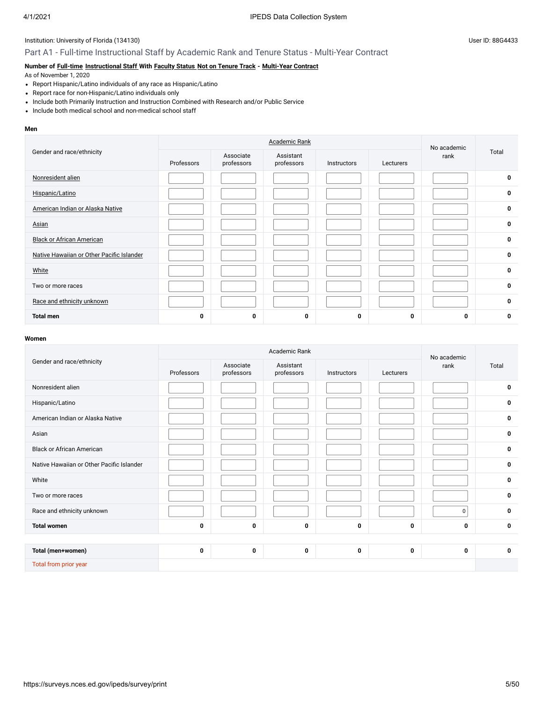# Part A1 - Full-time Instructional Staff by Academic Rank and Tenure Status - Multi-Year Contract

## **Number of [Full-time](javascript:openglossary(257)) [Instructional Staff](javascript:openglossary(996)) With [Faculty Status](javascript:openglossary(1009)) [Not on Tenure Track](javascript:openglossary(966)) - [Multi-Year Contract](javascript:openglossary(981))**

As of November 1, 2020

- Report Hispanic/Latino individuals of any race as Hispanic/Latino
- Report race for non-Hispanic/Latino individuals only
- Include both Primarily Instruction and Instruction Combined with Research and/or Public Service
- Include both medical school and non-medical school staff

#### **Men**

|                                           |            | No academic             |                         |             |           |      |              |
|-------------------------------------------|------------|-------------------------|-------------------------|-------------|-----------|------|--------------|
| Gender and race/ethnicity                 | Professors | Associate<br>professors | Assistant<br>professors | Instructors | Lecturers | rank | Total        |
| Nonresident alien                         |            |                         |                         |             |           |      | $\mathbf 0$  |
| Hispanic/Latino                           |            |                         |                         |             |           |      | $\mathbf 0$  |
| American Indian or Alaska Native          |            |                         |                         |             |           |      | $\mathbf 0$  |
| Asian                                     |            |                         |                         |             |           |      | $\mathbf 0$  |
| <b>Black or African American</b>          |            |                         |                         |             |           |      | $\mathbf 0$  |
| Native Hawaiian or Other Pacific Islander |            |                         |                         |             |           |      | $\mathbf 0$  |
| White                                     |            |                         |                         |             |           |      | $\mathbf 0$  |
| Two or more races                         |            |                         |                         |             |           |      | 0            |
| Race and ethnicity unknown                |            |                         |                         |             |           |      | $\mathbf{0}$ |
| <b>Total men</b>                          | 0          | 0                       | 0                       | 0           | 0         | 0    | $\bf{0}$     |

|                                           |            |                         | Academic Rank           |             |           | No academic |             |
|-------------------------------------------|------------|-------------------------|-------------------------|-------------|-----------|-------------|-------------|
| Gender and race/ethnicity                 | Professors | Associate<br>professors | Assistant<br>professors | Instructors | Lecturers | rank        | Total       |
| Nonresident alien                         |            |                         |                         |             |           |             | 0           |
| Hispanic/Latino                           |            |                         |                         |             |           |             | 0           |
| American Indian or Alaska Native          |            |                         |                         |             |           |             | $\mathbf 0$ |
| Asian                                     |            |                         |                         |             |           |             | $\bf{0}$    |
| <b>Black or African American</b>          |            |                         |                         |             |           |             | $\mathbf 0$ |
| Native Hawaiian or Other Pacific Islander |            |                         |                         |             |           |             | $\mathbf 0$ |
| White                                     |            |                         |                         |             |           |             | $\mathbf 0$ |
| Two or more races                         |            |                         |                         |             |           |             | $\mathbf 0$ |
| Race and ethnicity unknown                |            |                         |                         |             |           | 0           | $\mathbf 0$ |
| <b>Total women</b>                        | 0          | 0                       | 0                       | 0           | 0         | 0           | $\mathbf 0$ |
|                                           |            |                         |                         |             |           |             |             |
| Total (men+women)                         | 0          | 0                       | 0                       | 0           | 0         | 0           | $\mathbf 0$ |
| Total from prior year                     |            |                         |                         |             |           |             |             |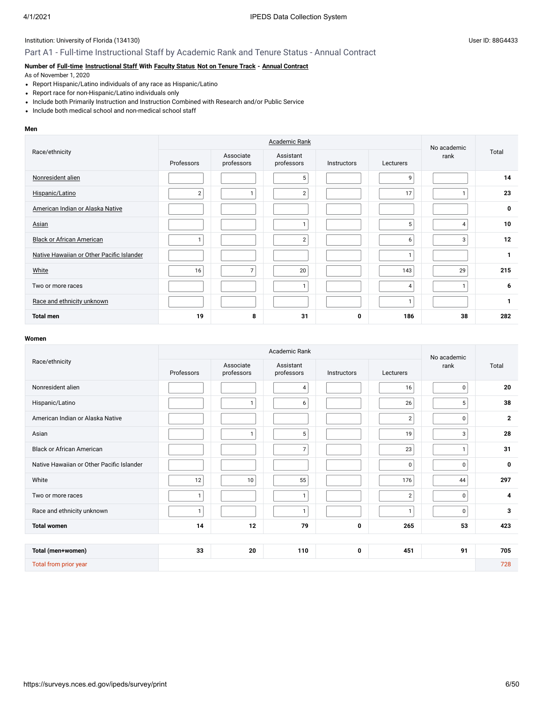# Part A1 - Full-time Instructional Staff by Academic Rank and Tenure Status - Annual Contract

## **Number of [Full-time](javascript:openglossary(257)) [Instructional Staff](javascript:openglossary(996)) With [Faculty Status](javascript:openglossary(1009)) [Not on Tenure Track](javascript:openglossary(966)) - [Annual Contract](javascript:openglossary(979))**

As of November 1, 2020

- Report Hispanic/Latino individuals of any race as Hispanic/Latino
- Report race for non-Hispanic/Latino individuals only
- Include both Primarily Instruction and Instruction Combined with Research and/or Public Service
- Include both medical school and non-medical school staff

#### **Men**

|                                           |                |                         | No academic             |             |           |      |              |
|-------------------------------------------|----------------|-------------------------|-------------------------|-------------|-----------|------|--------------|
| Race/ethnicity                            | Professors     | Associate<br>professors | Assistant<br>professors | Instructors | Lecturers | rank | Total        |
| Nonresident alien                         |                |                         | 5                       |             | 9         |      | 14           |
| Hispanic/Latino                           | $\overline{2}$ | 1                       | $\overline{2}$          |             | 17        |      | 23           |
| American Indian or Alaska Native          |                |                         |                         |             |           |      | $\mathbf 0$  |
| Asian                                     |                |                         |                         |             | 5         | 4    | 10           |
| <b>Black or African American</b>          |                |                         | $\overline{2}$          |             | 6         | 3    | 12           |
| Native Hawaiian or Other Pacific Islander |                |                         |                         |             | п         |      | $\mathbf{1}$ |
| White                                     | 16             | $\overline{7}$          | 20                      |             | 143       | 29   | 215          |
| Two or more races                         |                |                         | $\mathbf{I}$            |             | 4         |      | 6            |
| Race and ethnicity unknown                |                |                         |                         |             | 1         |      | $\mathbf{1}$ |
| <b>Total men</b>                          | 19             | 8                       | 31                      | 0           | 186       | 38   | 282          |

|                                           |              |                         | Academic Rank           |             |                | No academic  |              |
|-------------------------------------------|--------------|-------------------------|-------------------------|-------------|----------------|--------------|--------------|
| Race/ethnicity                            | Professors   | Associate<br>professors | Assistant<br>professors | Instructors | Lecturers      | rank         | Total        |
| Nonresident alien                         |              |                         | $\overline{4}$          |             | 16             | $\mathbf 0$  | 20           |
| Hispanic/Latino                           |              |                         | 6                       |             | 26             | 5            | 38           |
| American Indian or Alaska Native          |              |                         |                         |             | $\overline{2}$ | 0            | $\mathbf{2}$ |
| Asian                                     |              | 1                       | 5                       |             | 19             | 3            | 28           |
| <b>Black or African American</b>          |              |                         | $\overline{7}$          |             | 23             | $\mathbf{1}$ | 31           |
| Native Hawaiian or Other Pacific Islander |              |                         |                         |             | $\pmb{0}$      | 0            | 0            |
| White                                     | 12           | 10                      | 55                      |             | 176            | 44           | 297          |
| Two or more races                         | $\mathbf{1}$ |                         | $\mathbf{1}$            |             | $\overline{2}$ | $\mathbf 0$  | 4            |
| Race and ethnicity unknown                | $\mathbf{1}$ |                         | $\mathbf{1}$            |             | $\mathbf{1}$   | 0            | 3            |
| <b>Total women</b>                        | 14           | 12                      | 79                      | 0           | 265            | 53           | 423          |
|                                           |              |                         |                         |             |                |              |              |
| Total (men+women)                         | 33           | 20                      | 110                     | 0           | 451            | 91           | 705          |
| Total from prior year                     |              |                         |                         |             |                |              | 728          |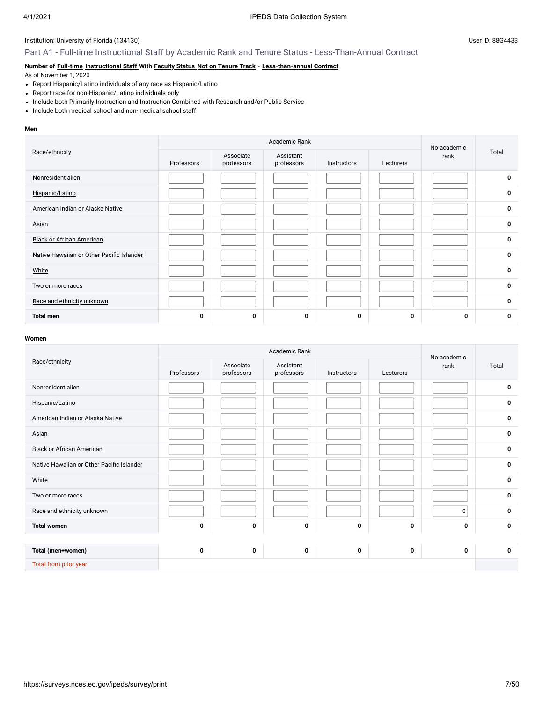# Part A1 - Full-time Instructional Staff by Academic Rank and Tenure Status - Less-Than-Annual Contract

## **Number of [Full-time](javascript:openglossary(257)) [Instructional Staff](javascript:openglossary(996)) With [Faculty Status](javascript:openglossary(1009)) [Not on Tenure Track](javascript:openglossary(966)) - [Less-than-annual Contract](javascript:openglossary(980))**

As of November 1, 2020

- Report Hispanic/Latino individuals of any race as Hispanic/Latino
- Report race for non-Hispanic/Latino individuals only
- Include both Primarily Instruction and Instruction Combined with Research and/or Public Service
- Include both medical school and non-medical school staff

#### **Men**

|                                           |            | No academic             |                         |             |           |      |             |
|-------------------------------------------|------------|-------------------------|-------------------------|-------------|-----------|------|-------------|
| Race/ethnicity                            | Professors | Associate<br>professors | Assistant<br>professors | Instructors | Lecturers | rank | Total       |
| Nonresident alien                         |            |                         |                         |             |           |      | $\mathbf 0$ |
| Hispanic/Latino                           |            |                         |                         |             |           |      | $\mathbf 0$ |
| American Indian or Alaska Native          |            |                         |                         |             |           |      | $\mathbf 0$ |
| Asian                                     |            |                         |                         |             |           |      | $\mathbf 0$ |
| <b>Black or African American</b>          |            |                         |                         |             |           |      | $\mathbf 0$ |
| Native Hawaiian or Other Pacific Islander |            |                         |                         |             |           |      | $\mathbf 0$ |
| White                                     |            |                         |                         |             |           |      | $\mathbf 0$ |
| Two or more races                         |            |                         |                         |             |           |      | 0           |
| Race and ethnicity unknown                |            |                         |                         |             |           |      | $\mathbf 0$ |
| <b>Total men</b>                          | 0          | 0                       | 0                       | 0           | 0         | 0    | $\bf{0}$    |

|                                           |             |                         | Academic Rank           |             |           | No academic |             |
|-------------------------------------------|-------------|-------------------------|-------------------------|-------------|-----------|-------------|-------------|
| Race/ethnicity                            | Professors  | Associate<br>professors | Assistant<br>professors | Instructors | Lecturers | rank        | Total       |
| Nonresident alien                         |             |                         |                         |             |           |             | 0           |
| Hispanic/Latino                           |             |                         |                         |             |           |             | 0           |
| American Indian or Alaska Native          |             |                         |                         |             |           |             | $\mathbf 0$ |
| Asian                                     |             |                         |                         |             |           |             | $\pmb{0}$   |
| <b>Black or African American</b>          |             |                         |                         |             |           |             | $\mathbf 0$ |
| Native Hawaiian or Other Pacific Islander |             |                         |                         |             |           |             | 0           |
| White                                     |             |                         |                         |             |           |             | $\mathbf 0$ |
| Two or more races                         |             |                         |                         |             |           |             | 0           |
| Race and ethnicity unknown                |             |                         |                         |             |           | $\mathbf 0$ | $\mathbf 0$ |
| <b>Total women</b>                        | $\mathbf 0$ | $\mathbf{0}$            | $\mathbf{0}$            | $\bf{0}$    | 0         | $\mathbf 0$ | $\mathbf 0$ |
|                                           |             |                         |                         |             |           |             |             |
| Total (men+women)                         | $\mathbf 0$ | $\mathbf 0$             | $\mathbf 0$             | 0           | 0         | 0           | $\mathbf 0$ |
| Total from prior year                     |             |                         |                         |             |           |             |             |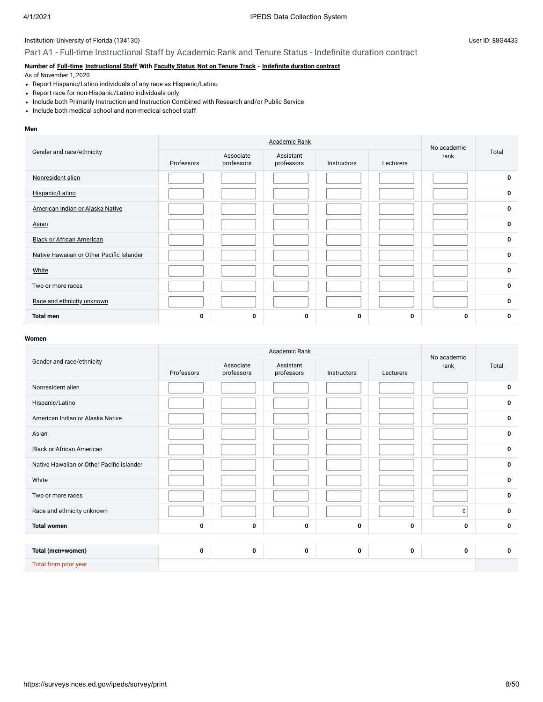# Part A1 - Full-time Instructional Staff by Academic Rank and Tenure Status - Indefinite duration contract

## **Number of [Full-time](javascript:openglossary(257)) [Instructional Staff](javascript:openglossary(996)) With [Faculty Status](javascript:openglossary(1009)) [Not on Tenure Track](javascript:openglossary(966)) - [Indefinite duration contract](javascript:openglossary(1075))**

As of November 1, 2020

- Report Hispanic/Latino individuals of any race as Hispanic/Latino
- Report race for non-Hispanic/Latino individuals only
- Include both Primarily Instruction and Instruction Combined with Research and/or Public Service
- Include both medical school and non-medical school staff

#### **Men**

|                                           |            | No academic             |                         |             |           |      |              |
|-------------------------------------------|------------|-------------------------|-------------------------|-------------|-----------|------|--------------|
| Gender and race/ethnicity                 | Professors | Associate<br>professors | Assistant<br>professors | Instructors | Lecturers | rank | Total        |
| Nonresident alien                         |            |                         |                         |             |           |      | $\mathbf 0$  |
| Hispanic/Latino                           |            |                         |                         |             |           |      | $\mathbf 0$  |
| American Indian or Alaska Native          |            |                         |                         |             |           |      | $\mathbf 0$  |
| Asian                                     |            |                         |                         |             |           |      | $\mathbf 0$  |
| <b>Black or African American</b>          |            |                         |                         |             |           |      | $\mathbf 0$  |
| Native Hawaiian or Other Pacific Islander |            |                         |                         |             |           |      | $\mathbf 0$  |
| White                                     |            |                         |                         |             |           |      | $\mathbf 0$  |
| Two or more races                         |            |                         |                         |             |           |      | 0            |
| Race and ethnicity unknown                |            |                         |                         |             |           |      | $\mathbf{0}$ |
| <b>Total men</b>                          | 0          | 0                       | 0                       | 0           | 0         | 0    | $\bf{0}$     |

|                                           |            | No academic             |                         |             |           |             |             |
|-------------------------------------------|------------|-------------------------|-------------------------|-------------|-----------|-------------|-------------|
| Gender and race/ethnicity                 | Professors | Associate<br>professors | Assistant<br>professors | Instructors | Lecturers | rank        | Total       |
| Nonresident alien                         |            |                         |                         |             |           |             | 0           |
| Hispanic/Latino                           |            |                         |                         |             |           |             | 0           |
| American Indian or Alaska Native          |            |                         |                         |             |           |             | 0           |
| Asian                                     |            |                         |                         |             |           |             | 0           |
| <b>Black or African American</b>          |            |                         |                         |             |           |             | $\mathbf 0$ |
| Native Hawaiian or Other Pacific Islander |            |                         |                         |             |           |             | 0           |
| White                                     |            |                         |                         |             |           |             | 0           |
| Two or more races                         |            |                         |                         |             |           |             | 0           |
| Race and ethnicity unknown                |            |                         |                         |             |           | $\mathbf 0$ | 0           |
| <b>Total women</b>                        | 0          | 0                       | 0                       | 0           | 0         | 0           | $\mathbf 0$ |
|                                           |            |                         |                         |             |           |             |             |
| Total (men+women)                         | 0          | 0                       | 0                       | 0           | 0         | 0           | $\mathbf 0$ |
| Total from prior year                     |            |                         |                         |             |           |             |             |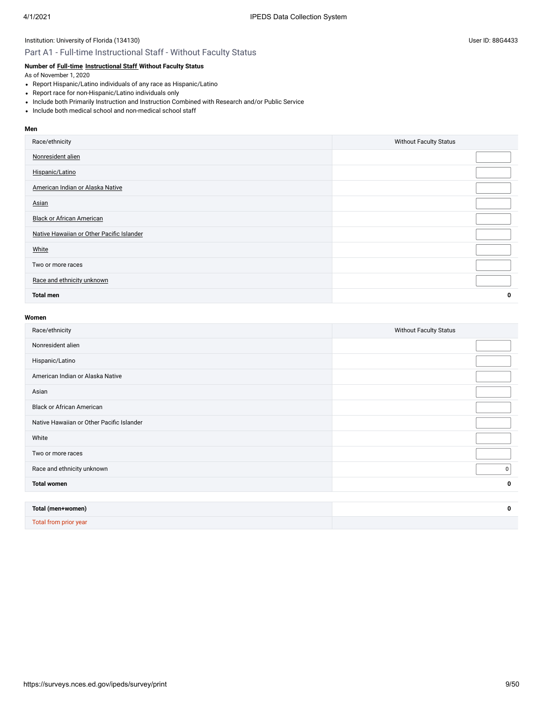#### Part A1 - Full-time Instructional Staff - Without Faculty Status

## **Number of [Full-time](javascript:openglossary(257)) [Instructional Staff](javascript:openglossary(996)) Without Faculty Status**

As of November 1, 2020

- Report Hispanic/Latino individuals of any race as Hispanic/Latino
- Report race for non-Hispanic/Latino individuals only
- Include both Primarily Instruction and Instruction Combined with Research and/or Public Service
- Include both medical school and non-medical school staff

#### **Men**

| Race/ethnicity                            | <b>Without Faculty Status</b> |
|-------------------------------------------|-------------------------------|
| Nonresident alien                         |                               |
| Hispanic/Latino                           |                               |
| American Indian or Alaska Native          |                               |
| Asian                                     |                               |
| <b>Black or African American</b>          |                               |
| Native Hawaiian or Other Pacific Islander |                               |
| White                                     |                               |
| Two or more races                         |                               |
| Race and ethnicity unknown                |                               |
| <b>Total men</b>                          | 0                             |
|                                           |                               |

#### **Women**

Total from prior year

| Race/ethnicity                            | <b>Without Faculty Status</b> |
|-------------------------------------------|-------------------------------|
| Nonresident alien                         |                               |
| Hispanic/Latino                           |                               |
| American Indian or Alaska Native          |                               |
| Asian                                     |                               |
| <b>Black or African American</b>          |                               |
| Native Hawaiian or Other Pacific Islander |                               |
| White                                     |                               |
| Two or more races                         |                               |
| Race and ethnicity unknown                | $\mathbf 0$                   |
| <b>Total women</b>                        | 0                             |
|                                           |                               |
| Total (men+women)                         | 0                             |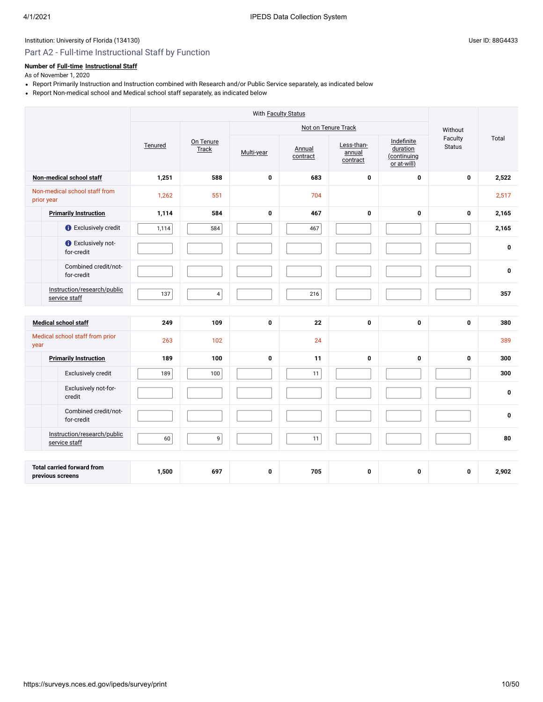# Part A2 - Full-time Instructional Staff by Function

# **Number of [Full-time](javascript:openglossary(257)) [Instructional Staff](javascript:openglossary(996))**

- Report Primarily Instruction and Instruction combined with Research and/or Public Service separately, as indicated below
- Report Non-medical school and Medical school staff separately, as indicated below

|                                                       |         | With Faculty Status |             |                    |                                  |                                                      |                          |              |
|-------------------------------------------------------|---------|---------------------|-------------|--------------------|----------------------------------|------------------------------------------------------|--------------------------|--------------|
|                                                       |         |                     |             |                    | Not on Tenure Track              |                                                      | Without                  |              |
|                                                       | Tenured | On Tenure<br>Track  | Multi-year  | Annual<br>contract | Less-than-<br>annual<br>contract | Indefinite<br>duration<br>(continuing<br>or at-will) | Faculty<br><b>Status</b> | Total        |
| Non-medical school staff                              | 1,251   | 588                 | $\bf{0}$    | 683                | 0                                | $\mathbf 0$                                          | $\mathbf 0$              | 2,522        |
| Non-medical school staff from<br>prior year           | 1,262   | 551                 |             | 704                |                                  |                                                      |                          | 2,517        |
| <b>Primarily Instruction</b>                          | 1,114   | 584                 | 0           | 467                | $\mathbf 0$                      | $\mathbf 0$                                          | 0                        | 2,165        |
| <b>C</b> Exclusively credit                           | 1,114   | 584                 |             | 467                |                                  |                                                      |                          | 2,165        |
| <b>O</b> Exclusively not-<br>for-credit               |         |                     |             |                    |                                  |                                                      |                          | 0            |
| Combined credit/not-<br>for-credit                    |         |                     |             |                    |                                  |                                                      |                          | $\mathbf{0}$ |
| Instruction/research/public<br>service staff          | 137     | $\overline{4}$      |             | 216                |                                  |                                                      |                          | 357          |
|                                                       |         |                     |             |                    |                                  |                                                      |                          |              |
| <b>Medical school staff</b>                           | 249     | 109                 | 0           | 22                 | $\mathbf 0$                      | 0                                                    | 0                        | 380          |
| Medical school staff from prior<br>year               | 263     | 102                 |             | 24                 |                                  |                                                      |                          | 389          |
| <b>Primarily Instruction</b>                          | 189     | 100                 | $\mathbf 0$ | 11                 | $\pmb{0}$                        | $\mathbf 0$                                          | $\mathbf 0$              | 300          |
| Exclusively credit                                    | 189     | 100                 |             | 11                 |                                  |                                                      |                          | 300          |
| Exclusively not-for-<br>credit                        |         |                     |             |                    |                                  |                                                      |                          | $\mathbf{0}$ |
| Combined credit/not-<br>for-credit                    |         |                     |             |                    |                                  |                                                      |                          | 0            |
| Instruction/research/public<br>service staff          | 60      | 9                   |             | 11                 |                                  |                                                      |                          | 80           |
|                                                       |         |                     |             |                    |                                  |                                                      |                          |              |
| <b>Total carried forward from</b><br>previous screens | 1,500   | 697                 | 0           | 705                | 0                                | $\mathbf 0$                                          | $\mathbf 0$              | 2,902        |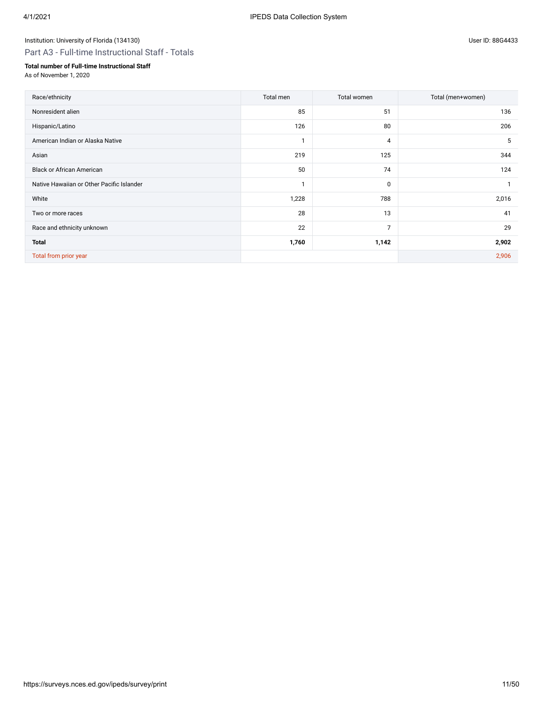Part A3 - Full-time Instructional Staff - Totals

## **Total number of Full-time Instructional Staff**

| Race/ethnicity                            | Total men | Total women    | Total (men+women) |
|-------------------------------------------|-----------|----------------|-------------------|
| Nonresident alien                         | 85        | 51             | 136               |
| Hispanic/Latino                           | 126       | 80             | 206               |
| American Indian or Alaska Native          | и         | 4              | 5                 |
| Asian                                     | 219       | 125            | 344               |
| <b>Black or African American</b>          | 50        | 74             | 124               |
| Native Hawaiian or Other Pacific Islander | 1         | 0              | $\mathbf{1}$      |
| White                                     | 1,228     | 788            | 2,016             |
| Two or more races                         | 28        | 13             | 41                |
| Race and ethnicity unknown                | 22        | $\overline{7}$ | 29                |
| <b>Total</b>                              | 1,760     | 1,142          | 2,902             |
| Total from prior year                     |           |                | 2,906             |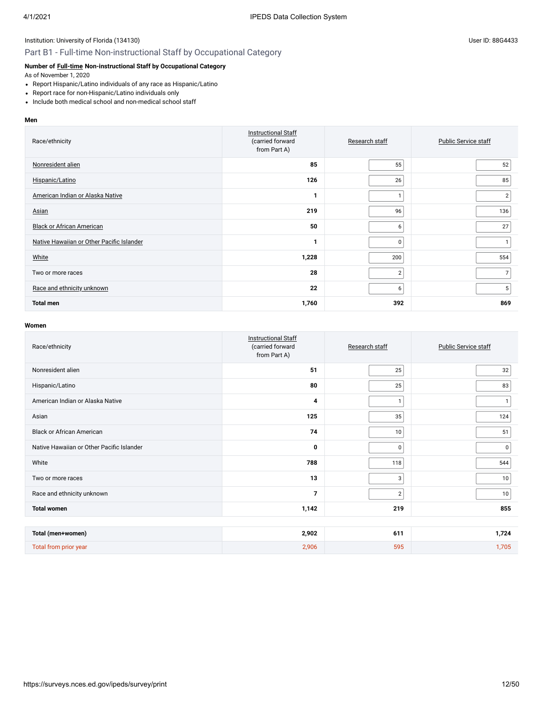# Part B1 - Full-time Non-instructional Staff by Occupational Category

## **Number of [Full-time](javascript:openglossary(257)) Non-instructional Staff by Occupational Category**

As of November 1, 2020

- Report Hispanic/Latino individuals of any race as Hispanic/Latino
- Report race for non-Hispanic/Latino individuals only
- Include both medical school and non-medical school staff

#### **Men**

| Race/ethnicity                            | <b>Instructional Staff</b><br>(carried forward<br>from Part A) | Research staff | <b>Public Service staff</b> |
|-------------------------------------------|----------------------------------------------------------------|----------------|-----------------------------|
| Nonresident alien                         | 85                                                             | 55             | 52                          |
| Hispanic/Latino                           | 126                                                            | 26             | 85                          |
| American Indian or Alaska Native          | 1                                                              | 1              | $\overline{2}$              |
| Asian                                     | 219                                                            | 96             | 136                         |
| <b>Black or African American</b>          | 50                                                             | 6              | 27                          |
| Native Hawaiian or Other Pacific Islander | 1                                                              | 0              |                             |
| White                                     | 1,228                                                          | 200            | 554                         |
| Two or more races                         | 28                                                             | $\overline{2}$ | 7                           |
| Race and ethnicity unknown                | 22                                                             | 6              | 5                           |
| <b>Total men</b>                          | 1,760                                                          | 392            | 869                         |

| Race/ethnicity                            | <b>Instructional Staff</b><br>(carried forward<br>from Part A) | Research staff | Public Service staff |
|-------------------------------------------|----------------------------------------------------------------|----------------|----------------------|
| Nonresident alien                         | 51                                                             | 25             | 32                   |
| Hispanic/Latino                           | 80                                                             | 25             | 83                   |
| American Indian or Alaska Native          | 4                                                              | $\mathbf{1}$   |                      |
| Asian                                     | 125                                                            | 35             | 124                  |
| <b>Black or African American</b>          | 74                                                             | 10             | 51                   |
| Native Hawaiian or Other Pacific Islander | 0                                                              | 0              | $\mathbf 0$          |
| White                                     | 788                                                            | 118            | 544                  |
| Two or more races                         | 13                                                             | 3              | 10                   |
| Race and ethnicity unknown                | $\overline{7}$                                                 | $\overline{2}$ | 10                   |
| <b>Total women</b>                        | 1,142                                                          | 219            | 855                  |
|                                           |                                                                |                |                      |
| Total (men+women)                         | 2,902                                                          | 611            | 1,724                |
| Total from prior year                     | 2,906                                                          | 595            | 1,705                |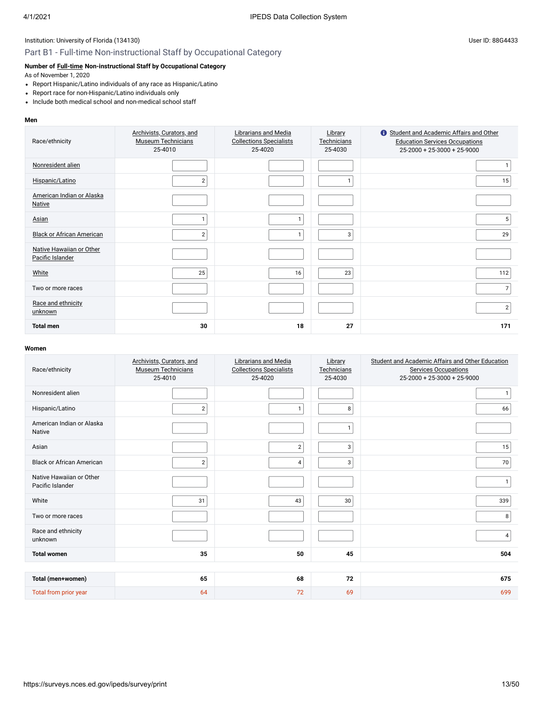# Part B1 - Full-time Non-instructional Staff by Occupational Category

## **Number of [Full-time](javascript:openglossary(257)) Non-instructional Staff by Occupational Category**

As of November 1, 2020

- Report Hispanic/Latino individuals of any race as Hispanic/Latino
- Report race for non-Hispanic/Latino individuals only
- Include both medical school and non-medical school staff

#### **Men**

| Race/ethnicity                               | Archivists, Curators, and<br><b>Museum Technicians</b><br>25-4010 | Librarians and Media<br><b>Collections Specialists</b><br>25-4020 | Library<br>Technicians<br>25-4030 | Student and Academic Affairs and Other<br><b>Education Services Occupations</b><br>$25-2000 + 25-3000 + 25-9000$ |
|----------------------------------------------|-------------------------------------------------------------------|-------------------------------------------------------------------|-----------------------------------|------------------------------------------------------------------------------------------------------------------|
| Nonresident alien                            |                                                                   |                                                                   |                                   |                                                                                                                  |
| Hispanic/Latino                              | $\overline{2}$                                                    |                                                                   |                                   | 15                                                                                                               |
| American Indian or Alaska<br><b>Native</b>   |                                                                   |                                                                   |                                   |                                                                                                                  |
| Asian                                        |                                                                   |                                                                   |                                   | 5                                                                                                                |
| <b>Black or African American</b>             | $\overline{2}$                                                    | 1                                                                 | 3                                 | 29                                                                                                               |
| Native Hawaiian or Other<br>Pacific Islander |                                                                   |                                                                   |                                   |                                                                                                                  |
| White                                        | 25                                                                | 16                                                                | 23                                | 112                                                                                                              |
| Two or more races                            |                                                                   |                                                                   |                                   | $\overline{7}$                                                                                                   |
| Race and ethnicity<br>unknown                |                                                                   |                                                                   |                                   | $\overline{2}$                                                                                                   |
| <b>Total men</b>                             | 30                                                                | 18                                                                | 27                                | 171                                                                                                              |

| Race/ethnicity                               | Archivists, Curators, and<br><b>Museum Technicians</b><br>25-4010 | <b>Librarians and Media</b><br><b>Collections Specialists</b><br>25-4020 | Library<br>Technicians<br>25-4030 | Student and Academic Affairs and Other Education<br><b>Services Occupations</b><br>25-2000 + 25-3000 + 25-9000 |
|----------------------------------------------|-------------------------------------------------------------------|--------------------------------------------------------------------------|-----------------------------------|----------------------------------------------------------------------------------------------------------------|
| Nonresident alien                            |                                                                   |                                                                          |                                   |                                                                                                                |
| Hispanic/Latino                              | $\overline{2}$                                                    | $\mathbf{1}$                                                             | 8                                 | 66                                                                                                             |
| American Indian or Alaska<br><b>Native</b>   |                                                                   |                                                                          |                                   |                                                                                                                |
| Asian                                        |                                                                   | $\overline{2}$                                                           | 3                                 | 15                                                                                                             |
| <b>Black or African American</b>             | $\overline{2}$                                                    | 4                                                                        | 3                                 | 70                                                                                                             |
| Native Hawaiian or Other<br>Pacific Islander |                                                                   |                                                                          |                                   | $\mathbf{1}$                                                                                                   |
| White                                        | 31                                                                | 43                                                                       | 30                                | 339                                                                                                            |
| Two or more races                            |                                                                   |                                                                          |                                   | 8 <sup>1</sup>                                                                                                 |
| Race and ethnicity<br>unknown                |                                                                   |                                                                          |                                   | 4                                                                                                              |
| <b>Total women</b>                           | 35                                                                | 50                                                                       | 45                                | 504                                                                                                            |
|                                              |                                                                   |                                                                          |                                   |                                                                                                                |
| Total (men+women)                            | 65                                                                | 68                                                                       | 72                                | 675                                                                                                            |
| Total from prior year                        | 64                                                                | 72                                                                       | 69                                | 699                                                                                                            |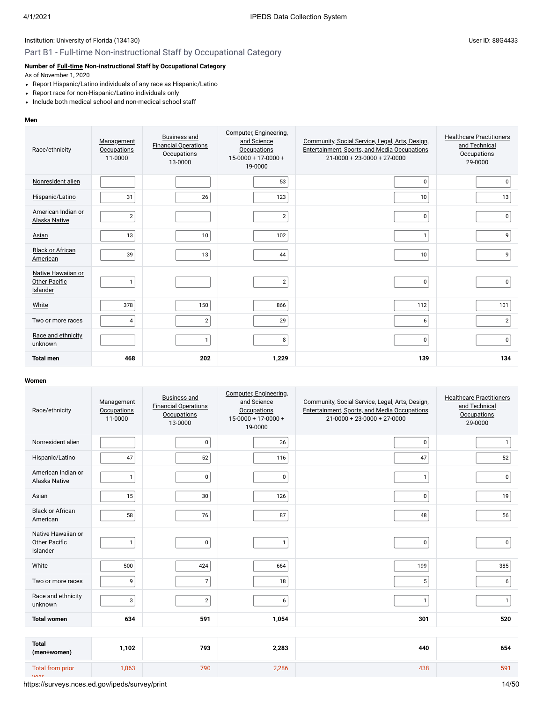## Part B1 - Full-time Non-instructional Staff by Occupational Category

# **Number of [Full-time](javascript:openglossary(257)) Non-instructional Staff by Occupational Category**

As of November 1, 2020

- Report Hispanic/Latino individuals of any race as Hispanic/Latino
- Report race for non-Hispanic/Latino individuals only
- Include both medical school and non-medical school staff

#### **Men**

| Race/ethnicity                                  | Management<br><b>Occupations</b><br>11-0000 | <b>Business and</b><br><b>Financial Operations</b><br><b>Occupations</b><br>13-0000 | Computer, Engineering,<br>and Science<br><b>Occupations</b><br>$15-0000 + 17-0000 +$<br>19-0000 | Community, Social Service, Legal, Arts, Design,<br>Entertainment, Sports, and Media Occupations<br>$21-0000 + 23-0000 + 27-0000$ | <b>Healthcare Practitioners</b><br>and Technical<br><b>Occupations</b><br>29-0000 |
|-------------------------------------------------|---------------------------------------------|-------------------------------------------------------------------------------------|-------------------------------------------------------------------------------------------------|----------------------------------------------------------------------------------------------------------------------------------|-----------------------------------------------------------------------------------|
| Nonresident alien                               |                                             |                                                                                     | 53                                                                                              | 0                                                                                                                                | $\mathbf 0$                                                                       |
| Hispanic/Latino                                 | 31                                          | 26                                                                                  | 123                                                                                             | 10                                                                                                                               | 13                                                                                |
| American Indian or<br>Alaska Native             | $\sqrt{2}$                                  |                                                                                     | $\overline{2}$                                                                                  | 0                                                                                                                                | 0                                                                                 |
| Asian                                           | 13                                          | 10                                                                                  | 102                                                                                             | $\mathbf{1}$                                                                                                                     | 9                                                                                 |
| <b>Black or African</b><br>American             | 39                                          | 13                                                                                  | 44                                                                                              | 10                                                                                                                               | 9                                                                                 |
| Native Hawaiian or<br>Other Pacific<br>Islander | $\mathbf{1}$                                |                                                                                     | $\overline{\mathbf{c}}$                                                                         | 0                                                                                                                                | $\pmb{0}$                                                                         |
| White                                           | 378                                         | 150                                                                                 | 866                                                                                             | 112                                                                                                                              | 101                                                                               |
| Two or more races                               | $\overline{4}$                              | $\overline{2}$                                                                      | 29                                                                                              | 6                                                                                                                                | $\overline{2}$                                                                    |
| Race and ethnicity<br>unknown                   |                                             | $\mathbf{1}$                                                                        | 8                                                                                               | 0                                                                                                                                | 0                                                                                 |
| <b>Total men</b>                                | 468                                         | 202                                                                                 | 1,229                                                                                           | 139                                                                                                                              | 134                                                                               |

| Race/ethnicity                                         | Management<br><b>Occupations</b><br>11-0000 | <b>Business and</b><br><b>Financial Operations</b><br><b>Occupations</b><br>13-0000 | Computer, Engineering,<br>and Science<br><b>Occupations</b><br>$15-0000 + 17-0000 +$<br>19-0000 | Community, Social Service, Legal, Arts, Design,<br>Entertainment, Sports, and Media Occupations<br>$21 - 0000 + 23 - 0000 + 27 - 0000$ | <b>Healthcare Practitioners</b><br>and Technical<br><b>Occupations</b><br>29-0000 |
|--------------------------------------------------------|---------------------------------------------|-------------------------------------------------------------------------------------|-------------------------------------------------------------------------------------------------|----------------------------------------------------------------------------------------------------------------------------------------|-----------------------------------------------------------------------------------|
| Nonresident alien                                      |                                             | $\mathbf 0$                                                                         | 36                                                                                              | 0                                                                                                                                      | $\mathbf{1}$                                                                      |
| Hispanic/Latino                                        | 47                                          | 52                                                                                  | 116                                                                                             | 47                                                                                                                                     | 52                                                                                |
| American Indian or<br>Alaska Native                    | 1                                           | $\mathbf 0$                                                                         | $\pmb{0}$                                                                                       | $\mathbf{1}$                                                                                                                           | $\mathbf 0$                                                                       |
| Asian                                                  | 15                                          | 30                                                                                  | 126                                                                                             | 0                                                                                                                                      | 19                                                                                |
| <b>Black or African</b><br>American                    | 58                                          | 76                                                                                  | 87                                                                                              | 48                                                                                                                                     | 56                                                                                |
| Native Hawaiian or<br><b>Other Pacific</b><br>Islander | $\mathbf{1}$                                | $\mathbf 0$                                                                         | $\mathbf{1}$                                                                                    | 0                                                                                                                                      | $\mathbf 0$                                                                       |
| White                                                  | 500                                         | 424                                                                                 | 664                                                                                             | 199                                                                                                                                    | 385                                                                               |
| Two or more races                                      | 9                                           | $\overline{7}$                                                                      | 18                                                                                              | 5                                                                                                                                      | 6                                                                                 |
| Race and ethnicity<br>unknown                          | 3                                           | $\overline{2}$                                                                      | 6                                                                                               | $\mathbf{1}$                                                                                                                           | $\mathbf{1}$                                                                      |
| <b>Total women</b>                                     | 634                                         | 591                                                                                 | 1,054                                                                                           | 301                                                                                                                                    | 520                                                                               |
|                                                        |                                             |                                                                                     |                                                                                                 |                                                                                                                                        |                                                                                   |
| <b>Total</b><br>(men+women)                            | 1,102                                       | 793                                                                                 | 2,283                                                                                           | 440                                                                                                                                    | 654                                                                               |
| <b>Total from prior</b><br>Voor                        | 1,063                                       | 790                                                                                 | 2,286                                                                                           | 438                                                                                                                                    | 591                                                                               |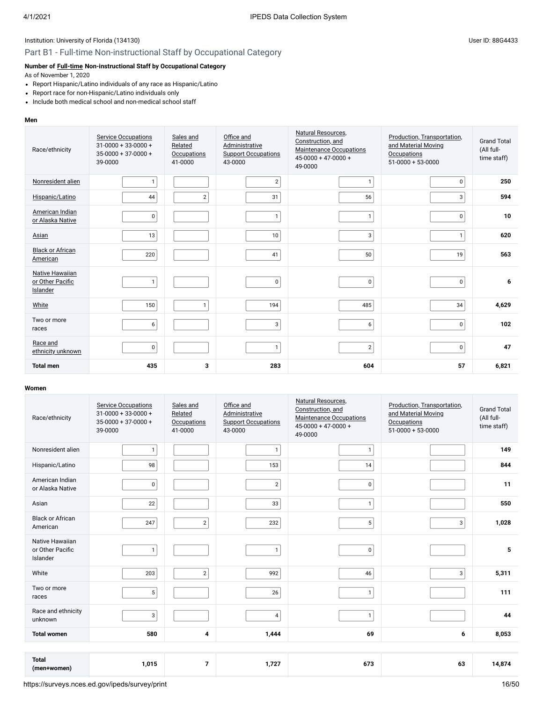## Part B1 - Full-time Non-instructional Staff by Occupational Category

# **Number of [Full-time](javascript:openglossary(257)) Non-instructional Staff by Occupational Category**

As of November 1, 2020

- Report Hispanic/Latino individuals of any race as Hispanic/Latino
- Report race for non-Hispanic/Latino individuals only
- Include both medical school and non-medical school staff

#### **Men**

| Race/ethnicity                                  | <b>Service Occupations</b><br>$31 - 0000 + 33 - 0000 +$<br>$35 - 0000 + 37 - 0000 +$<br>39-0000 | Sales and<br>Related<br><b>Occupations</b><br>41-0000 | Office and<br>Administrative<br><b>Support Occupations</b><br>43-0000 | Natural Resources.<br>Construction, and<br>Maintenance Occupations<br>$45 - 0000 + 47 - 0000 +$<br>49-0000 | Production, Transportation,<br>and Material Moving<br>Occupations<br>$51-0000+53-0000$ | <b>Grand Total</b><br>(All full-<br>time staff) |
|-------------------------------------------------|-------------------------------------------------------------------------------------------------|-------------------------------------------------------|-----------------------------------------------------------------------|------------------------------------------------------------------------------------------------------------|----------------------------------------------------------------------------------------|-------------------------------------------------|
| Nonresident alien                               | $\mathbf{1}$                                                                                    |                                                       | 2                                                                     | $\mathbf{1}$                                                                                               | $\pmb{0}$                                                                              | 250                                             |
| Hispanic/Latino                                 | 44                                                                                              | $\sqrt{2}$                                            | 31                                                                    | 56                                                                                                         | 3                                                                                      | 594                                             |
| American Indian<br>or Alaska Native             | 0                                                                                               |                                                       | $\mathbf{1}$                                                          | $\mathbf{1}$                                                                                               | 0                                                                                      | 10                                              |
| Asian                                           | 13                                                                                              |                                                       | 10                                                                    | 3                                                                                                          | $\mathbf{1}$                                                                           | 620                                             |
| <b>Black or African</b><br>American             | 220                                                                                             |                                                       | 41                                                                    | 50                                                                                                         | 19                                                                                     | 563                                             |
| Native Hawaiian<br>or Other Pacific<br>Islander | $\mathbf{1}$                                                                                    |                                                       | 0                                                                     | $\pmb{0}$                                                                                                  | 0                                                                                      | 6                                               |
| White                                           | 150                                                                                             | $\mathbf{1}$                                          | 194                                                                   | 485                                                                                                        | 34                                                                                     | 4,629                                           |
| Two or more<br>races                            | 6                                                                                               |                                                       | 3 <sup>1</sup>                                                        | 6                                                                                                          | 0                                                                                      | 102                                             |
| Race and<br>ethnicity unknown                   | 0                                                                                               |                                                       | $\mathbf{1}$                                                          | $\sqrt{2}$                                                                                                 | $\mathsf 0$                                                                            | 47                                              |
| <b>Total men</b>                                | 435                                                                                             | 3                                                     | 283                                                                   | 604                                                                                                        | 57                                                                                     | 6,821                                           |

|                                     | <b>Service Occupations</b>                      | Sales and                     | Office and                            | Natural Resources,                                  | Production, Transportation,             |                                  |
|-------------------------------------|-------------------------------------------------|-------------------------------|---------------------------------------|-----------------------------------------------------|-----------------------------------------|----------------------------------|
| Race/ethnicity                      | $31 - 0000 + 33 - 0000 +$<br>$35-0000+37-0000+$ | Related                       | Administrative                        | Construction, and<br><b>Maintenance Occupations</b> | and Material Moving                     | <b>Grand Total</b><br>(All full- |
|                                     | 39-0000                                         | <b>Occupations</b><br>41-0000 | <b>Support Occupations</b><br>43-0000 | $45 - 0000 + 47 - 0000 +$<br>49-0000                | <b>Occupations</b><br>$51-0000+53-0000$ | time staff)                      |
| Nonresident alien                   | $\mathbf{1}$                                    |                               | $\mathbf{1}$                          | $\mathbf{1}$                                        |                                         | 149                              |
|                                     |                                                 |                               |                                       |                                                     |                                         |                                  |
| Hispanic/Latino                     | 98                                              |                               | 153                                   | 14                                                  |                                         | 844                              |
| American Indian<br>or Alaska Native | 0                                               |                               | $\mathbf{2}$                          | $\pmb{0}$                                           |                                         | 11                               |
|                                     |                                                 |                               |                                       |                                                     |                                         |                                  |
| Asian                               | 22                                              |                               | 33                                    | $\mathbf{1}$                                        |                                         | 550                              |
| <b>Black or African</b>             | 247                                             | $\overline{2}$                | 232                                   | 5                                                   | 3                                       | 1,028                            |
| American                            |                                                 |                               |                                       |                                                     |                                         |                                  |
| Native Hawaiian                     |                                                 |                               |                                       |                                                     |                                         |                                  |
| or Other Pacific<br>Islander        | $\mathbf{1}$                                    |                               | $\mathbf{1}$                          | $\pmb{0}$                                           |                                         | 5                                |
| White                               | 203                                             | $\overline{2}$                | 992                                   | 46                                                  | 3                                       | 5,311                            |
|                                     |                                                 |                               |                                       |                                                     |                                         |                                  |
| Two or more<br>races                | 5                                               |                               | 26                                    | $\mathbf{1}$                                        |                                         | 111                              |
| Race and ethnicity                  |                                                 |                               |                                       |                                                     |                                         |                                  |
| unknown                             | 3                                               |                               | $\overline{4}$                        | $\mathbf{1}$                                        |                                         | 44                               |
| <b>Total women</b>                  | 580                                             | 4                             | 1,444                                 | 69                                                  | 6                                       | 8,053                            |
|                                     |                                                 |                               |                                       |                                                     |                                         |                                  |
| <b>Total</b>                        |                                                 |                               |                                       |                                                     |                                         |                                  |
| (men+women)                         | 1,015                                           | $\overline{7}$                | 1,727                                 | 673                                                 | 63                                      | 14,874                           |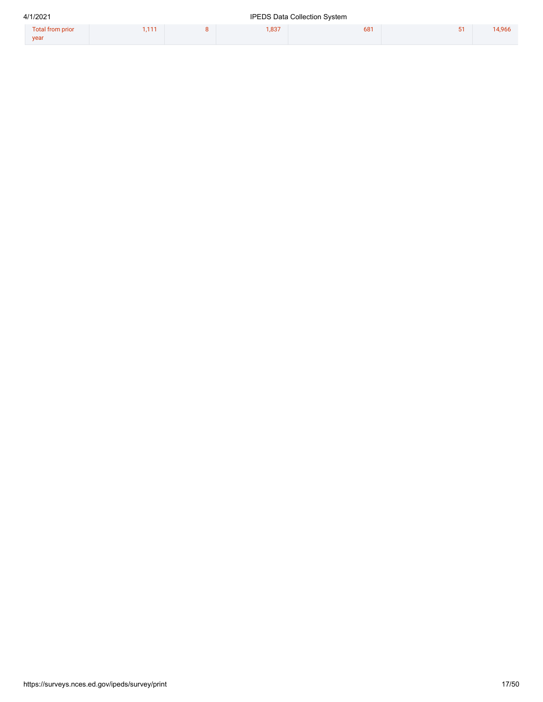| 4/1/2021                 | <b>IPEDS Data Collection System</b> |  |      |     |  |        |  |
|--------------------------|-------------------------------------|--|------|-----|--|--------|--|
| Total from prior<br>year | .111                                |  | .837 | 681 |  | 14,966 |  |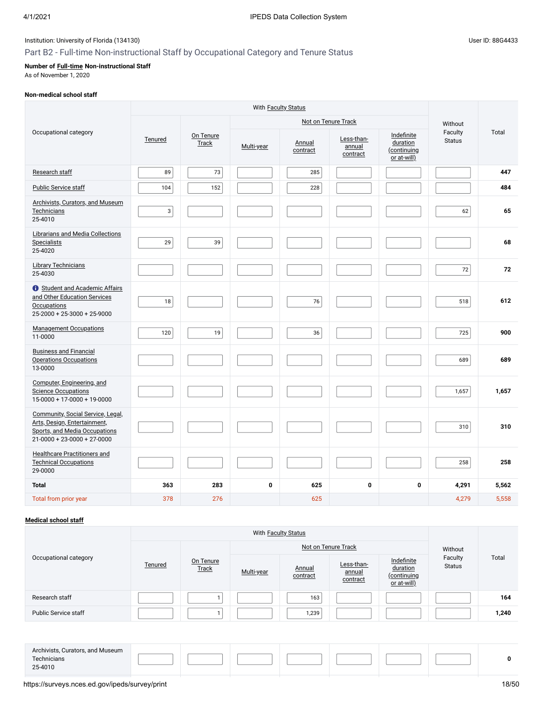# Part B2 - Full-time Non-instructional Staff by Occupational Category and Tenure Status

## **Number of [Full-time](javascript:openglossary(257)) Non-instructional Staff**

As of November 1, 2020

## **Non-medical school staff**

|                                                                                                                                           |                |                           | With Faculty Status |                    |                                  |                                                      |                          |       |
|-------------------------------------------------------------------------------------------------------------------------------------------|----------------|---------------------------|---------------------|--------------------|----------------------------------|------------------------------------------------------|--------------------------|-------|
|                                                                                                                                           |                |                           |                     |                    | Not on Tenure Track              |                                                      | Without                  |       |
| Occupational category                                                                                                                     | Tenured        | On Tenure<br><b>Track</b> | Multi-year          | Annual<br>contract | Less-than-<br>annual<br>contract | Indefinite<br>duration<br>(continuing<br>or at-will) | Faculty<br><b>Status</b> | Total |
| Research staff                                                                                                                            | 89             | 73                        |                     | 285                |                                  |                                                      |                          | 447   |
| <b>Public Service staff</b>                                                                                                               | 104            | 152                       |                     | 228                |                                  |                                                      |                          | 484   |
| <b>Archivists, Curators, and Museum</b><br>Technicians<br>25-4010                                                                         | 3 <sup>1</sup> |                           |                     |                    |                                  |                                                      | 62                       | 65    |
| Librarians and Media Collections<br><b>Specialists</b><br>25-4020                                                                         | 29             | 39                        |                     |                    |                                  |                                                      |                          | 68    |
| <b>Library Technicians</b><br>25-4030                                                                                                     |                |                           |                     |                    |                                  |                                                      | 72                       | 72    |
| <b>O</b> Student and Academic Affairs<br>and Other Education Services<br><b>Occupations</b><br>$25-2000 + 25-3000 + 25-9000$              | 18             |                           |                     | 76                 |                                  |                                                      | 518                      | 612   |
| <b>Management Occupations</b><br>11-0000                                                                                                  | 120            | 19                        |                     | 36                 |                                  |                                                      | 725                      | 900   |
| <b>Business and Financial</b><br><b>Operations Occupations</b><br>13-0000                                                                 |                |                           |                     |                    |                                  |                                                      | 689                      | 689   |
| Computer, Engineering, and<br><b>Science Occupations</b><br>$15-0000 + 17-0000 + 19-0000$                                                 |                |                           |                     |                    |                                  |                                                      | 1,657                    | 1,657 |
| Community, Social Service, Legal,<br>Arts, Design, Entertainment,<br>Sports, and Media Occupations<br>$21 - 0000 + 23 - 0000 + 27 - 0000$ |                |                           |                     |                    |                                  |                                                      | 310                      | 310   |
| <b>Healthcare Practitioners and</b><br><b>Technical Occupations</b><br>29-0000                                                            |                |                           |                     |                    |                                  |                                                      | 258                      | 258   |
| <b>Total</b>                                                                                                                              | 363            | 283                       | $\mathbf 0$         | 625                | 0                                | $\mathbf 0$                                          | 4,291                    | 5,562 |
| Total from prior year                                                                                                                     | 378            | 276                       |                     | 625                |                                  |                                                      | 4,279                    | 5,558 |

# **[Medical school staff](javascript:openglossary(393))**

|                             |         |                    |            |                    | Not on Tenure Track              |                                                      | Without                  |       |
|-----------------------------|---------|--------------------|------------|--------------------|----------------------------------|------------------------------------------------------|--------------------------|-------|
| Occupational category       | Tenured | On Tenure<br>Track | Multi-year | Annual<br>contract | Less-than-<br>annual<br>contract | Indefinite<br>duration<br>(continuing<br>or at-will) | Faculty<br><b>Status</b> | Total |
| Research staff              |         |                    |            | 163                |                                  |                                                      |                          | 164   |
| <b>Public Service staff</b> |         |                    |            | 1,239              |                                  |                                                      |                          | 1,240 |
|                             |         |                    |            |                    |                                  |                                                      |                          |       |

| Archivists, Curators, and Museum |  |  |  |  |
|----------------------------------|--|--|--|--|
| Technicians                      |  |  |  |  |
| 25-4010                          |  |  |  |  |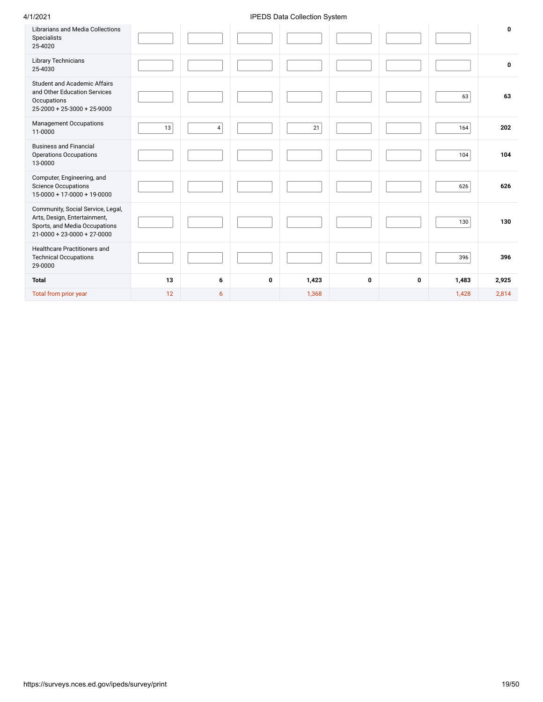## 4/1/2021 IPEDS Data Collection System

| <b>Librarians and Media Collections</b><br>Specialists<br>25-4020                                                                         |    |                |   |       |   |   |       | $\mathbf 0$ |
|-------------------------------------------------------------------------------------------------------------------------------------------|----|----------------|---|-------|---|---|-------|-------------|
| <b>Library Technicians</b><br>25-4030                                                                                                     |    |                |   |       |   |   |       | 0           |
| <b>Student and Academic Affairs</b><br>and Other Education Services<br>Occupations<br>$25 - 2000 + 25 - 3000 + 25 - 9000$                 |    |                |   |       |   |   | 63    | 63          |
| <b>Management Occupations</b><br>11-0000                                                                                                  | 13 | $\overline{4}$ |   | 21    |   |   | 164   | 202         |
| <b>Business and Financial</b><br><b>Operations Occupations</b><br>13-0000                                                                 |    |                |   |       |   |   | 104   | 104         |
| Computer, Engineering, and<br><b>Science Occupations</b><br>15-0000 + 17-0000 + 19-0000                                                   |    |                |   |       |   |   | 626   | 626         |
| Community, Social Service, Legal,<br>Arts, Design, Entertainment,<br>Sports, and Media Occupations<br>$21 - 0000 + 23 - 0000 + 27 - 0000$ |    |                |   |       |   |   | 130   | 130         |
| Healthcare Practitioners and<br><b>Technical Occupations</b><br>29-0000                                                                   |    |                |   |       |   |   | 396   | 396         |
| <b>Total</b>                                                                                                                              | 13 | 6              | 0 | 1,423 | 0 | 0 | 1,483 | 2,925       |
| Total from prior year                                                                                                                     | 12 | 6              |   | 1,368 |   |   | 1,428 | 2,814       |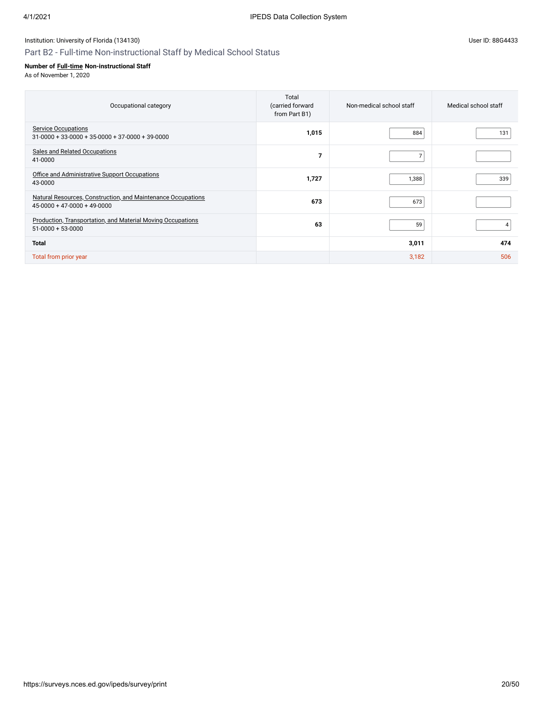# Part B2 - Full-time Non-instructional Staff by Medical School Status

## **Number of [Full-time](javascript:openglossary(257)) Non-instructional Staff**

| Occupational category                                                                         | Total<br>(carried forward<br>from Part B1) | Non-medical school staff | Medical school staff |
|-----------------------------------------------------------------------------------------------|--------------------------------------------|--------------------------|----------------------|
| <b>Service Occupations</b><br>$31-0000 + 33-0000 + 35-0000 + 37-0000 + 39-0000$               | 1,015                                      | 884                      | 131                  |
| <b>Sales and Related Occupations</b><br>41-0000                                               | 7                                          | $\overline{7}$           |                      |
| Office and Administrative Support Occupations<br>43-0000                                      | 1,727                                      | 1,388                    | 339                  |
| Natural Resources, Construction, and Maintenance Occupations<br>$45-0000 + 47-0000 + 49-0000$ | 673                                        | 673                      |                      |
| <b>Production, Transportation, and Material Moving Occupations</b><br>$51-0000 + 53-0000$     | 63                                         | 59                       |                      |
| <b>Total</b>                                                                                  |                                            | 3,011                    | 474                  |
| Total from prior year                                                                         |                                            | 3,182                    | 506                  |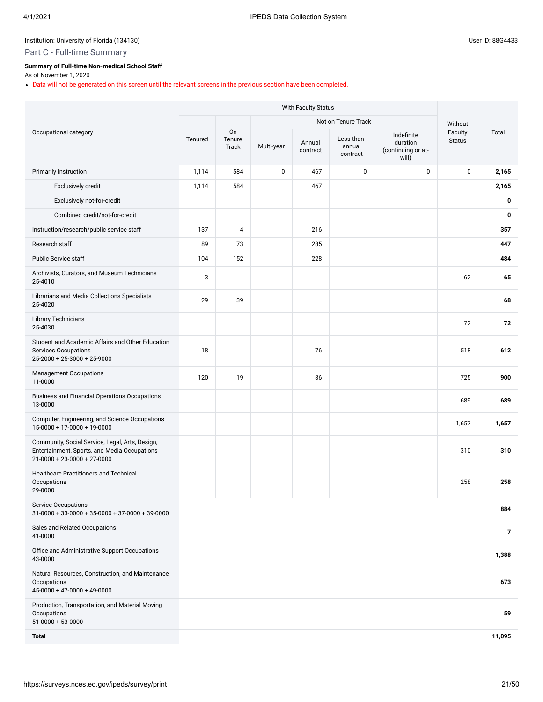## Part C - Full-time Summary

## **Summary of Full-time Non-medical School Staff**

As of November 1, 2020

Data will not be generated on this screen until the relevant screens in the previous section have been completed.

|              |                                                                                                                                        |         |                       |            | With Faculty Status |                                  |                                                       |                          |                |
|--------------|----------------------------------------------------------------------------------------------------------------------------------------|---------|-----------------------|------------|---------------------|----------------------------------|-------------------------------------------------------|--------------------------|----------------|
|              |                                                                                                                                        |         |                       |            |                     | Not on Tenure Track              |                                                       | Without                  |                |
|              | Occupational category                                                                                                                  | Tenured | On<br>Tenure<br>Track | Multi-year | Annual<br>contract  | Less-than-<br>annual<br>contract | Indefinite<br>duration<br>(continuing or at-<br>will) | Faculty<br><b>Status</b> | Total          |
|              | <b>Primarily Instruction</b>                                                                                                           | 1,114   | 584                   | 0          | 467                 | $\mathbf 0$                      | 0                                                     | $\pmb{0}$                | 2,165          |
|              | Exclusively credit                                                                                                                     | 1,114   | 584                   |            | 467                 |                                  |                                                       |                          | 2,165          |
|              | Exclusively not-for-credit                                                                                                             |         |                       |            |                     |                                  |                                                       |                          | 0              |
|              | Combined credit/not-for-credit                                                                                                         |         |                       |            |                     |                                  |                                                       |                          | $\mathbf 0$    |
|              | Instruction/research/public service staff                                                                                              | 137     | $\overline{4}$        |            | 216                 |                                  |                                                       |                          | 357            |
|              | Research staff                                                                                                                         | 89      | 73                    |            | 285                 |                                  |                                                       |                          | 447            |
|              | <b>Public Service staff</b>                                                                                                            | 104     | 152                   |            | 228                 |                                  |                                                       |                          | 484            |
| 25-4010      | Archivists, Curators, and Museum Technicians                                                                                           | 3       |                       |            |                     |                                  |                                                       | 62                       | 65             |
| 25-4020      | Librarians and Media Collections Specialists                                                                                           | 29      | 39                    |            |                     |                                  |                                                       |                          | 68             |
| 25-4030      | <b>Library Technicians</b>                                                                                                             |         |                       |            |                     |                                  |                                                       | 72                       | 72             |
|              | Student and Academic Affairs and Other Education<br>Services Occupations<br>$25-2000 + 25-3000 + 25-9000$                              | 18      |                       |            | 76                  |                                  |                                                       | 518                      | 612            |
| 11-0000      | <b>Management Occupations</b>                                                                                                          | 120     | 19                    |            | 36                  |                                  |                                                       | 725                      | 900            |
| 13-0000      | <b>Business and Financial Operations Occupations</b>                                                                                   |         |                       |            |                     |                                  |                                                       | 689                      | 689            |
|              | Computer, Engineering, and Science Occupations<br>15-0000 + 17-0000 + 19-0000                                                          |         |                       |            |                     |                                  |                                                       | 1,657                    | 1,657          |
|              | Community, Social Service, Legal, Arts, Design,<br>Entertainment, Sports, and Media Occupations<br>$21 - 0000 + 23 - 0000 + 27 - 0000$ |         |                       |            |                     |                                  |                                                       | 310                      | 310            |
| 29-0000      | <b>Healthcare Practitioners and Technical</b><br>Occupations                                                                           |         |                       |            |                     |                                  |                                                       | 258                      | 258            |
|              | Service Occupations<br>$31-0000 + 33-0000 + 35-0000 + 37-0000 + 39-0000$                                                               |         |                       |            |                     |                                  |                                                       |                          | 884            |
| 41-0000      | Sales and Related Occupations                                                                                                          |         |                       |            |                     |                                  |                                                       |                          | $\overline{7}$ |
| 43-0000      | Office and Administrative Support Occupations                                                                                          |         |                       |            |                     |                                  |                                                       |                          | 1,388          |
|              | Natural Resources, Construction, and Maintenance<br>Occupations<br>$45-0000 + 47-0000 + 49-0000$                                       |         |                       |            |                     |                                  |                                                       |                          | 673            |
|              | Production, Transportation, and Material Moving<br>Occupations<br>$51-0000 + 53-0000$                                                  |         |                       |            |                     |                                  |                                                       |                          | 59             |
| <b>Total</b> |                                                                                                                                        |         |                       |            |                     |                                  |                                                       |                          | 11,095         |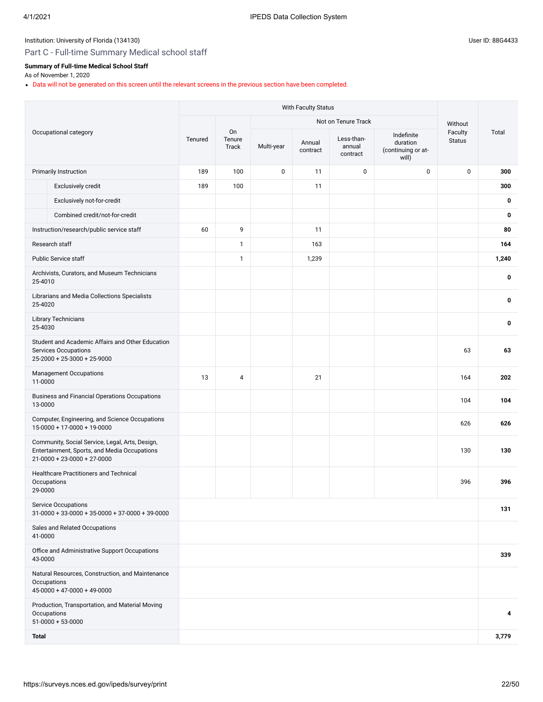# Part C - Full-time Summary Medical school staff

# **Summary of Full-time Medical School Staff**

As of November 1, 2020

Data will not be generated on this screen until the relevant screens in the previous section have been completed.

|              |                                                                                                                                        |         |                       |            | With Faculty Status |                                  |                                                       |                          |       |
|--------------|----------------------------------------------------------------------------------------------------------------------------------------|---------|-----------------------|------------|---------------------|----------------------------------|-------------------------------------------------------|--------------------------|-------|
|              |                                                                                                                                        |         |                       |            |                     | Not on Tenure Track              |                                                       | Without                  |       |
|              | Occupational category                                                                                                                  | Tenured | On<br>Tenure<br>Track | Multi-year | Annual<br>contract  | Less-than-<br>annual<br>contract | Indefinite<br>duration<br>(continuing or at-<br>will) | Faculty<br><b>Status</b> | Total |
|              | <b>Primarily Instruction</b>                                                                                                           | 189     | 100                   | 0          | 11                  | 0                                | 0                                                     | 0                        | 300   |
|              | Exclusively credit                                                                                                                     | 189     | 100                   |            | 11                  |                                  |                                                       |                          | 300   |
|              | Exclusively not-for-credit                                                                                                             |         |                       |            |                     |                                  |                                                       |                          | 0     |
|              | Combined credit/not-for-credit                                                                                                         |         |                       |            |                     |                                  |                                                       |                          | 0     |
|              | Instruction/research/public service staff                                                                                              | 60      | 9                     |            | 11                  |                                  |                                                       |                          | 80    |
|              | Research staff                                                                                                                         |         | 1                     |            | 163                 |                                  |                                                       |                          | 164   |
|              | <b>Public Service staff</b>                                                                                                            |         | 1                     |            | 1,239               |                                  |                                                       |                          | 1,240 |
| 25-4010      | Archivists, Curators, and Museum Technicians                                                                                           |         |                       |            |                     |                                  |                                                       |                          | 0     |
| 25-4020      | Librarians and Media Collections Specialists                                                                                           |         |                       |            |                     |                                  |                                                       |                          | 0     |
| 25-4030      | <b>Library Technicians</b>                                                                                                             |         |                       |            |                     |                                  |                                                       |                          | 0     |
|              | Student and Academic Affairs and Other Education<br><b>Services Occupations</b><br>$25-2000 + 25-3000 + 25-9000$                       |         |                       |            |                     |                                  |                                                       | 63                       | 63    |
| 11-0000      | <b>Management Occupations</b>                                                                                                          | 13      | 4                     |            | 21                  |                                  |                                                       | 164                      | 202   |
| 13-0000      | <b>Business and Financial Operations Occupations</b>                                                                                   |         |                       |            |                     |                                  |                                                       | 104                      | 104   |
|              | Computer, Engineering, and Science Occupations<br>$15-0000 + 17-0000 + 19-0000$                                                        |         |                       |            |                     |                                  |                                                       | 626                      | 626   |
|              | Community, Social Service, Legal, Arts, Design,<br>Entertainment, Sports, and Media Occupations<br>$21 - 0000 + 23 - 0000 + 27 - 0000$ |         |                       |            |                     |                                  |                                                       | 130                      | 130   |
| 29-0000      | <b>Healthcare Practitioners and Technical</b><br>Occupations                                                                           |         |                       |            |                     |                                  |                                                       | 396                      | 396   |
|              | <b>Service Occupations</b><br>$31-0000 + 33-0000 + 35-0000 + 37-0000 + 39-0000$                                                        |         |                       |            |                     |                                  |                                                       |                          | 131   |
| 41-0000      | Sales and Related Occupations                                                                                                          |         |                       |            |                     |                                  |                                                       |                          |       |
| 43-0000      | Office and Administrative Support Occupations                                                                                          |         |                       |            |                     |                                  |                                                       |                          | 339   |
|              | Natural Resources, Construction, and Maintenance<br>Occupations<br>$45-0000 + 47-0000 + 49-0000$                                       |         |                       |            |                     |                                  |                                                       |                          |       |
|              | Production, Transportation, and Material Moving<br>Occupations<br>$51-0000 + 53-0000$                                                  |         |                       |            |                     |                                  |                                                       |                          | 4     |
| <b>Total</b> |                                                                                                                                        |         |                       |            |                     |                                  |                                                       |                          | 3,779 |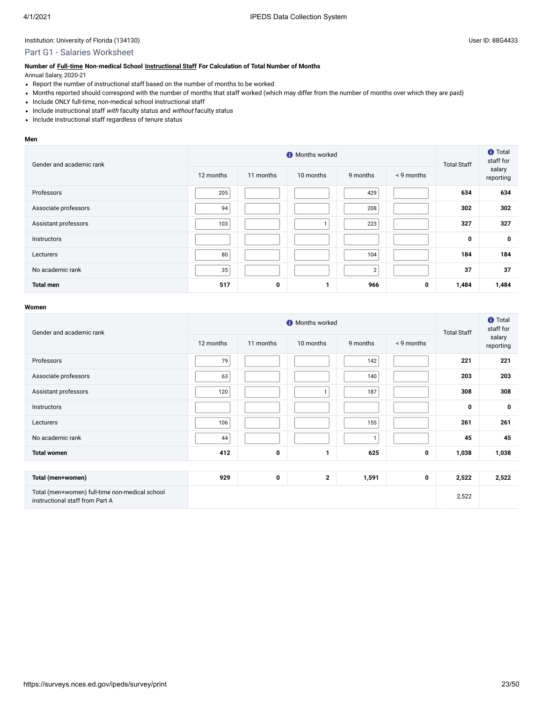## Part G1 - Salaries Worksheet

#### **Number of [Full-time](javascript:openglossary(257)) Non-medical School [Instructional Staff](javascript:openglossary(996)) For Calculation of Total Number of Months**

Annual Salary, 2020-21

- Report the number of instructional staff based on the number of months to be worked
- Months reported should correspond with the number of months that staff worked (which may differ from the number of months over which they are paid)
- Include ONLY full-time, non-medical school instructional staff
- Include instructional staff with faculty status and without faculty status
- Include instructional staff regardless of tenure status

#### **Men**

| Gender and academic rank |           | <b>Total Staff</b> | <b>f</b> Total<br>staff for |          |            |       |                     |
|--------------------------|-----------|--------------------|-----------------------------|----------|------------|-------|---------------------|
|                          | 12 months | 11 months          | 10 months                   | 9 months | < 9 months |       | salary<br>reporting |
| Professors               | 205       |                    |                             | 429      |            | 634   | 634                 |
| Associate professors     | 94        |                    |                             | 208      |            | 302   | 302                 |
| Assistant professors     | 103       |                    |                             | 223      |            | 327   | 327                 |
| Instructors              |           |                    |                             |          |            | 0     | 0                   |
| Lecturers                | 80        |                    |                             | 104      |            | 184   | 184                 |
| No academic rank         | 35        |                    |                             | 2        |            | 37    | 37                  |
| <b>Total men</b>         | 517       | 0                  | 1                           | 966      | 0          | 1,484 | 1,484               |

| Gender and academic rank                                                          |           | <b>Total Staff</b> | <b>f</b> Total<br>staff for |          |            |       |                     |
|-----------------------------------------------------------------------------------|-----------|--------------------|-----------------------------|----------|------------|-------|---------------------|
|                                                                                   | 12 months | 11 months          | 10 months                   | 9 months | < 9 months |       | salary<br>reporting |
| Professors                                                                        | 79        |                    |                             | 142      |            | 221   | 221                 |
| Associate professors                                                              | 63        |                    |                             | 140      |            | 203   | 203                 |
| Assistant professors                                                              | 120       |                    |                             | 187      |            | 308   | 308                 |
| Instructors                                                                       |           |                    |                             |          |            | 0     | 0                   |
| Lecturers                                                                         | 106       |                    |                             | 155      |            | 261   | 261                 |
| No academic rank                                                                  | 44        |                    |                             |          |            | 45    | 45                  |
| <b>Total women</b>                                                                | 412       | 0                  | $\mathbf{1}$                | 625      | 0          | 1,038 | 1,038               |
|                                                                                   |           |                    |                             |          |            |       |                     |
| Total (men+women)                                                                 | 929       | $\bf{0}$           | $\mathbf{2}$                | 1,591    | 0          | 2,522 | 2,522               |
| Total (men+women) full-time non-medical school<br>instructional staff from Part A |           |                    |                             |          |            | 2,522 |                     |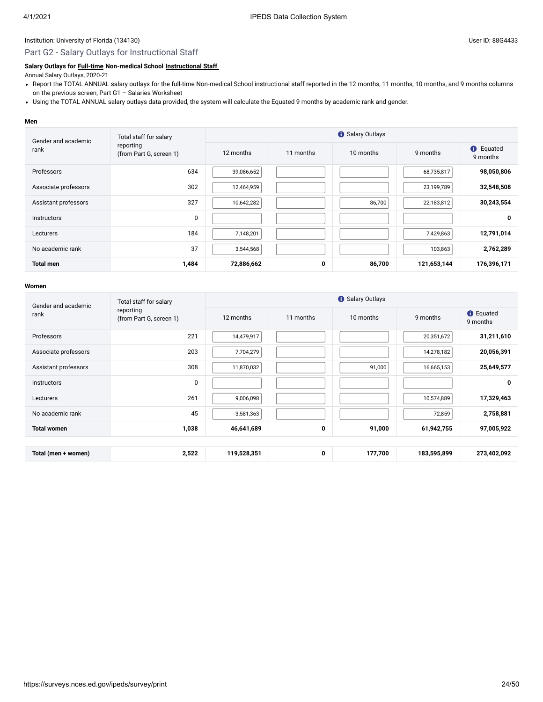#### Part G2 - Salary Outlays for Instructional Staff

#### **Salary Outlays for [Full-time](javascript:openglossary(257)) Non-medical School [Instructional Staff](javascript:openglossary(996))**

Annual Salary Outlays, 2020-21

- Report the TOTAL ANNUAL salary outlays for the full-time Non-medical School instructional staff reported in the 12 months, 11 months, 10 months, and 9 months columns on the previous screen, Part G1 – Salaries Worksheet
- Using the TOTAL ANNUAL salary outlays data provided, the system will calculate the Equated 9 months by academic rank and gender.

#### **Men**

| Gender and academic  | Total staff for salary               | <b>O</b> Salary Outlays             |   |          |                              |             |  |  |  |
|----------------------|--------------------------------------|-------------------------------------|---|----------|------------------------------|-------------|--|--|--|
| rank                 | reporting<br>(from Part G, screen 1) | 12 months<br>11 months<br>10 months |   | 9 months | <b>O</b> Equated<br>9 months |             |  |  |  |
| Professors           | 634                                  | 39,086,652                          |   |          | 68,735,817                   | 98,050,806  |  |  |  |
| Associate professors | 302                                  | 12,464,959                          |   |          | 23,199,789                   | 32,548,508  |  |  |  |
| Assistant professors | 327                                  | 10,642,282                          |   | 86,700   | 22,183,812                   | 30,243,554  |  |  |  |
| <b>Instructors</b>   | 0                                    |                                     |   |          |                              | 0           |  |  |  |
| Lecturers            | 184                                  | 7,148,201                           |   |          | 7,429,863                    | 12,791,014  |  |  |  |
| No academic rank     | 37                                   | 3,544,568                           |   |          | 103,863                      | 2,762,289   |  |  |  |
| <b>Total men</b>     | 1,484                                | 72,886,662                          | 0 | 86,700   | 121,653,144                  | 176,396,171 |  |  |  |

| Gender and academic  | Total staff for salary               |             | <b>O</b> Salary Outlays |           |             |                              |  |  |  |  |
|----------------------|--------------------------------------|-------------|-------------------------|-----------|-------------|------------------------------|--|--|--|--|
| rank                 | reporting<br>(from Part G, screen 1) | 12 months   | 11 months               | 10 months | 9 months    | <b>O</b> Equated<br>9 months |  |  |  |  |
| Professors           | 221                                  | 14,479,917  |                         |           | 20,351,672  | 31,211,610                   |  |  |  |  |
| Associate professors | 203                                  | 7,704,279   |                         |           | 14,278,182  | 20,056,391                   |  |  |  |  |
| Assistant professors | 308                                  | 11,870,032  |                         | 91,000    | 16,665,153  | 25,649,577                   |  |  |  |  |
| <b>Instructors</b>   | 0                                    |             |                         |           |             | 0                            |  |  |  |  |
| Lecturers            | 261                                  | 9,006,098   |                         |           | 10,574,889  | 17,329,463                   |  |  |  |  |
| No academic rank     | 45                                   | 3,581,363   |                         |           | 72,859      | 2,758,881                    |  |  |  |  |
| <b>Total women</b>   | 1,038                                | 46,641,689  | 0                       | 91,000    | 61,942,755  | 97,005,922                   |  |  |  |  |
|                      |                                      |             |                         |           |             |                              |  |  |  |  |
| Total (men + women)  | 2,522                                | 119,528,351 | $\mathbf 0$             | 177,700   | 183,595,899 | 273,402,092                  |  |  |  |  |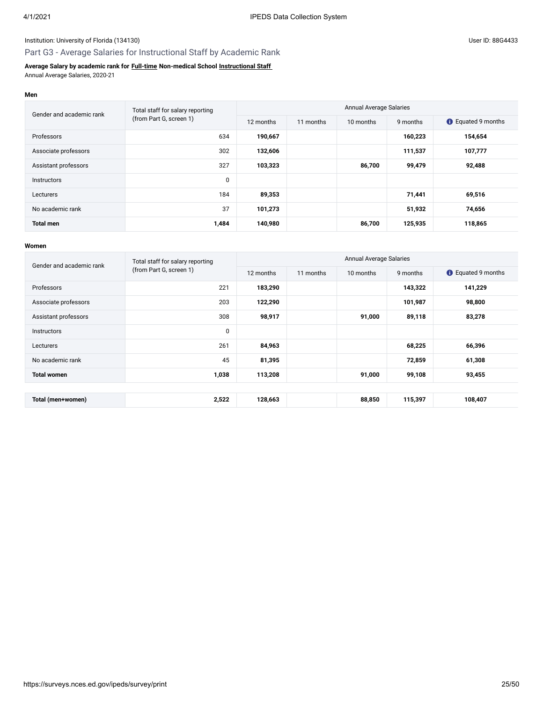# Part G3 - Average Salaries for Instructional Staff by Academic Rank

#### **Average Salary by academic rank for [Full-time](javascript:openglossary(257)) Non-medical School [Instructional Staff](javascript:openglossary(996))** Annual Average Salaries, 2020-21

**Men**

| Gender and academic rank | Total staff for salary reporting | <b>Annual Average Salaries</b> |           |           |          |                           |  |
|--------------------------|----------------------------------|--------------------------------|-----------|-----------|----------|---------------------------|--|
|                          | (from Part G, screen 1)          | 12 months                      | 11 months | 10 months | 9 months | <b>C</b> Equated 9 months |  |
| Professors               | 634                              | 190,667                        |           |           | 160,223  | 154,654                   |  |
| Associate professors     | 302                              | 132,606                        |           |           | 111,537  | 107,777                   |  |
| Assistant professors     | 327                              | 103,323                        |           | 86,700    | 99,479   | 92,488                    |  |
| <b>Instructors</b>       | 0                                |                                |           |           |          |                           |  |
| Lecturers                | 184                              | 89,353                         |           |           | 71,441   | 69,516                    |  |
| No academic rank         | 37                               | 101,273                        |           |           | 51,932   | 74,656                    |  |
| <b>Total men</b>         | 1,484                            | 140,980                        |           | 86,700    | 125,935  | 118,865                   |  |

| Gender and academic rank | Total staff for salary reporting | <b>Annual Average Salaries</b> |                                    |        |                           |         |  |
|--------------------------|----------------------------------|--------------------------------|------------------------------------|--------|---------------------------|---------|--|
|                          | (from Part G, screen 1)          | 12 months                      | 10 months<br>9 months<br>11 months |        | <b>t</b> Equated 9 months |         |  |
| Professors               | 221                              | 183,290                        |                                    |        | 143,322                   | 141,229 |  |
| Associate professors     | 203                              | 122,290                        |                                    |        | 101,987                   | 98,800  |  |
| Assistant professors     | 308                              | 98,917                         |                                    | 91,000 | 89,118                    | 83,278  |  |
| <b>Instructors</b>       | $\mathbf{0}$                     |                                |                                    |        |                           |         |  |
| Lecturers                | 261                              | 84,963                         |                                    |        | 68,225                    | 66,396  |  |
| No academic rank         | 45                               | 81,395                         |                                    |        | 72,859                    | 61,308  |  |
| <b>Total women</b>       | 1,038                            | 113,208                        |                                    | 91,000 | 99,108                    | 93,455  |  |
|                          |                                  |                                |                                    |        |                           |         |  |
| Total (men+women)        | 2,522                            | 128,663                        |                                    | 88,850 | 115,397                   | 108,407 |  |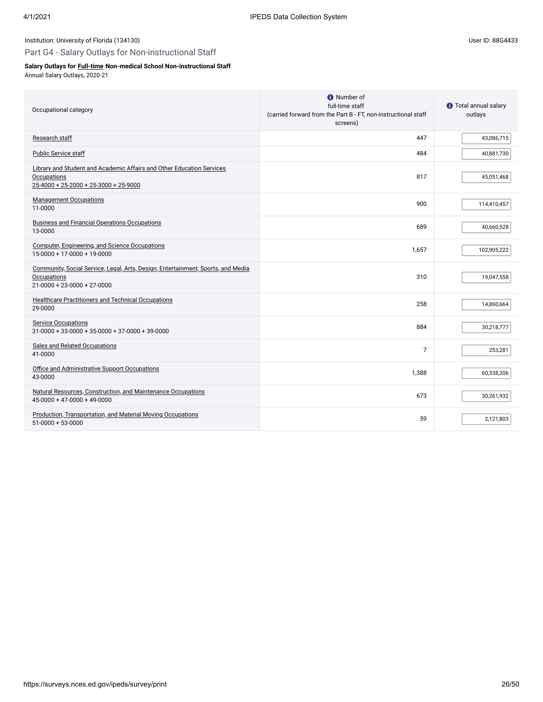# Part G4 - Salary Outlays for Non-instructional Staff

# **Salary Outlays for [Full-time](javascript:openglossary(257)) Non-medical School Non-instructional Staff**

Annual Salary Outlays, 2020-21

| Occupational category                                                                                                                   | <b>O</b> Number of<br>full-time staff<br>(carried forward from the Part B - FT, non-instructional staff<br>screens) | <b>O</b> Total annual salary<br>outlays |
|-----------------------------------------------------------------------------------------------------------------------------------------|---------------------------------------------------------------------------------------------------------------------|-----------------------------------------|
| Research staff                                                                                                                          | 447                                                                                                                 | 43,086,715                              |
| Public Service staff                                                                                                                    | 484                                                                                                                 | 40,881,730                              |
| Library and Student and Academic Affairs and Other Education Services<br>Occupations<br>$25 - 4000 + 25 - 2000 + 25 - 3000 + 25 - 9000$ | 817                                                                                                                 | 45,051,468                              |
| <b>Management Occupations</b><br>11-0000                                                                                                | 900                                                                                                                 | 114,410,457                             |
| <b>Business and Financial Operations Occupations</b><br>13-0000                                                                         | 689                                                                                                                 | 40,660,528                              |
| Computer, Engineering, and Science Occupations<br>$15-0000 + 17-0000 + 19-0000$                                                         | 1.657                                                                                                               | 102,905,222                             |
| Community, Social Service, Legal, Arts, Design, Entertainment, Sports, and Media<br>Occupations<br>$21 - 0000 + 23 - 0000 + 27 - 0000$  | 310                                                                                                                 | 19,047,558                              |
| <b>Healthcare Practitioners and Technical Occupations</b><br>29-0000                                                                    | 258                                                                                                                 | 14,860,664                              |
| <b>Service Occupations</b><br>$31 - 0000 + 33 - 0000 + 35 - 0000 + 37 - 0000 + 39 - 0000$                                               | 884                                                                                                                 | 30,218,777                              |
| Sales and Related Occupations<br>41-0000                                                                                                | 7                                                                                                                   | 253,281                                 |
| Office and Administrative Support Occupations<br>43-0000                                                                                | 1.388                                                                                                               | 60,338,206                              |
| Natural Resources, Construction, and Maintenance Occupations<br>$45-0000 + 47-0000 + 49-0000$                                           | 673                                                                                                                 | 30,261,932                              |
| Production, Transportation, and Material Moving Occupations<br>$51-0000+53-0000$                                                        | 59                                                                                                                  | 2,121,803                               |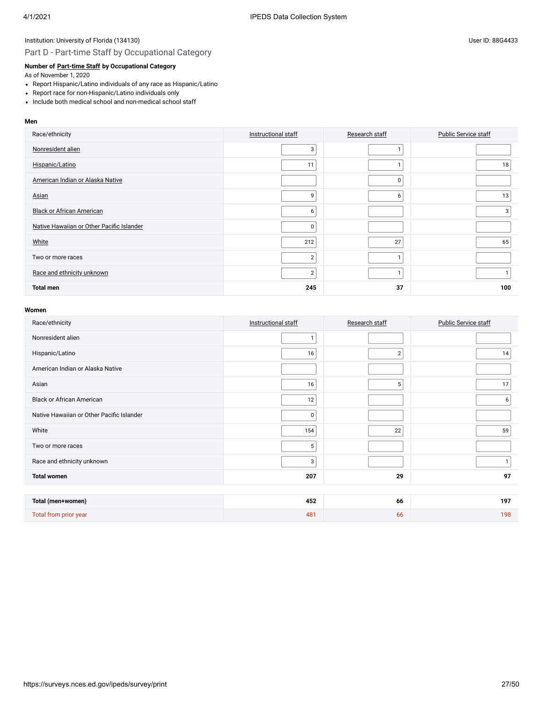# Part D - Part-time Staff by Occupational Category

# **Number of [Part-time Staff](javascript:openglossary(467)) by Occupational Category**

As of November 1, 2020

- Report Hispanic/Latino individuals of any race as Hispanic/Latino
- Report race for non-Hispanic/Latino individuals only
- Include both medical school and non-medical school staff

#### **Men**

| Race/ethnicity                            | Instructional staff | Research staff | <b>Public Service staff</b> |
|-------------------------------------------|---------------------|----------------|-----------------------------|
| Nonresident alien                         | 3                   |                |                             |
| Hispanic/Latino                           | 11                  |                | 18 <sub>1</sub>             |
| American Indian or Alaska Native          |                     | $\mathbf 0$    |                             |
| Asian                                     | 9                   | 6              | 13                          |
| <b>Black or African American</b>          | 6                   |                | 3                           |
| Native Hawaiian or Other Pacific Islander | 0                   |                |                             |
| White                                     | 212                 | 27             | 65                          |
| Two or more races                         | $\overline{2}$      |                |                             |
| Race and ethnicity unknown                | $\overline{2}$      |                |                             |
| <b>Total men</b>                          | 245                 | 37             | 100                         |

| Race/ethnicity                            | Instructional staff | Research staff | <b>Public Service staff</b> |
|-------------------------------------------|---------------------|----------------|-----------------------------|
| Nonresident alien                         | $\mathbf{1}$        |                |                             |
| Hispanic/Latino                           | 16                  | $\overline{2}$ | 14                          |
| American Indian or Alaska Native          |                     |                |                             |
| Asian                                     | 16                  | 5              | 17                          |
| <b>Black or African American</b>          | 12                  |                | 6                           |
| Native Hawaiian or Other Pacific Islander | 0                   |                |                             |
| White                                     | 154                 | 22             | 59                          |
| Two or more races                         | 5                   |                |                             |
| Race and ethnicity unknown                | 3                   |                | 1                           |
| <b>Total women</b>                        | 207                 | 29             | 97                          |
|                                           |                     |                |                             |
| Total (men+women)                         | 452                 | 66             | 197                         |
| Total from prior year                     | 481                 | 66             | 198                         |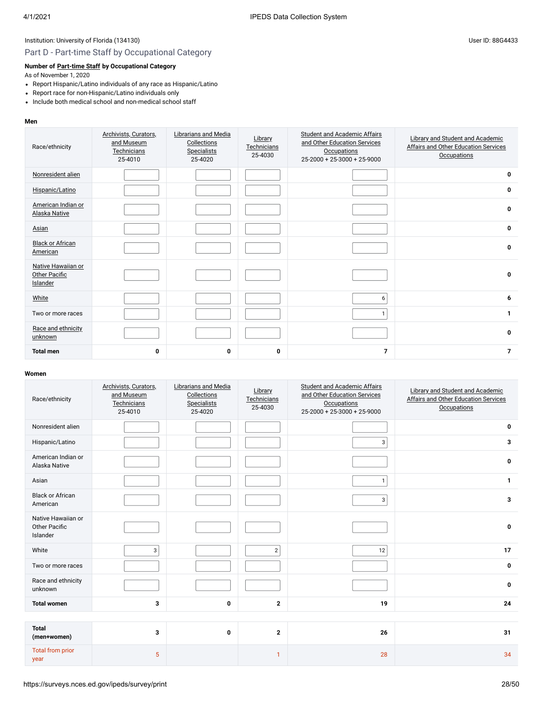# Part D - Part-time Staff by Occupational Category

# **Number of [Part-time Staff](javascript:openglossary(467)) by Occupational Category**

As of November 1, 2020

- Report Hispanic/Latino individuals of any race as Hispanic/Latino
- Report race for non-Hispanic/Latino individuals only
- Include both medical school and non-medical school staff

#### **Men**

| Race/ethnicity                                  | Archivists, Curators,<br>and Museum<br>Technicians<br>25-4010 | Librarians and Media<br>Collections<br><b>Specialists</b><br>25-4020 | Library<br>Technicians<br>25-4030 | <b>Student and Academic Affairs</b><br>and Other Education Services<br>Occupations<br>25-2000 + 25-3000 + 25-9000 | Library and Student and Academic<br>Affairs and Other Education Services<br><b>Occupations</b> |
|-------------------------------------------------|---------------------------------------------------------------|----------------------------------------------------------------------|-----------------------------------|-------------------------------------------------------------------------------------------------------------------|------------------------------------------------------------------------------------------------|
| Nonresident alien                               |                                                               |                                                                      |                                   |                                                                                                                   | 0                                                                                              |
| Hispanic/Latino                                 |                                                               |                                                                      |                                   |                                                                                                                   | 0                                                                                              |
| American Indian or<br>Alaska Native             |                                                               |                                                                      |                                   |                                                                                                                   | 0                                                                                              |
| Asian                                           |                                                               |                                                                      |                                   |                                                                                                                   | 0                                                                                              |
| <b>Black or African</b><br>American             |                                                               |                                                                      |                                   |                                                                                                                   | $\bf{0}$                                                                                       |
| Native Hawaiian or<br>Other Pacific<br>Islander |                                                               |                                                                      |                                   |                                                                                                                   | 0                                                                                              |
| White                                           |                                                               |                                                                      |                                   | 6                                                                                                                 | 6                                                                                              |
| Two or more races                               |                                                               |                                                                      |                                   | $\mathbf{1}$                                                                                                      | $\mathbf{1}$                                                                                   |
| Race and ethnicity<br>unknown                   |                                                               |                                                                      |                                   |                                                                                                                   | 0                                                                                              |
| <b>Total men</b>                                | 0                                                             | 0                                                                    | 0                                 | $\overline{7}$                                                                                                    | $\overline{7}$                                                                                 |

| Race/ethnicity                                         | Archivists, Curators,<br>and Museum<br>Technicians<br>25-4010 | Librarians and Media<br>Collections<br><b>Specialists</b><br>25-4020 | Library<br>Technicians<br>25-4030 | <b>Student and Academic Affairs</b><br>and Other Education Services<br>Occupations<br>25-2000 + 25-3000 + 25-9000 | Library and Student and Academic<br><b>Affairs and Other Education Services</b><br><b>Occupations</b> |
|--------------------------------------------------------|---------------------------------------------------------------|----------------------------------------------------------------------|-----------------------------------|-------------------------------------------------------------------------------------------------------------------|-------------------------------------------------------------------------------------------------------|
| Nonresident alien                                      |                                                               |                                                                      |                                   |                                                                                                                   | 0                                                                                                     |
| Hispanic/Latino                                        |                                                               |                                                                      |                                   | 3                                                                                                                 | 3                                                                                                     |
| American Indian or<br>Alaska Native                    |                                                               |                                                                      |                                   |                                                                                                                   | 0                                                                                                     |
| Asian                                                  |                                                               |                                                                      |                                   | $\mathbf{1}$                                                                                                      | $\mathbf{1}$                                                                                          |
| <b>Black or African</b><br>American                    |                                                               |                                                                      |                                   | 3                                                                                                                 | 3                                                                                                     |
| Native Hawaiian or<br><b>Other Pacific</b><br>Islander |                                                               |                                                                      |                                   |                                                                                                                   | $\bf{0}$                                                                                              |
| White                                                  | 3                                                             |                                                                      | $\overline{2}$                    | 12                                                                                                                | 17                                                                                                    |
| Two or more races                                      |                                                               |                                                                      |                                   |                                                                                                                   | 0                                                                                                     |
| Race and ethnicity<br>unknown                          |                                                               |                                                                      |                                   |                                                                                                                   | 0                                                                                                     |
| <b>Total women</b>                                     | 3                                                             | $\mathbf 0$                                                          | $\mathbf{2}$                      | 19                                                                                                                | 24                                                                                                    |
|                                                        |                                                               |                                                                      |                                   |                                                                                                                   |                                                                                                       |
| <b>Total</b><br>(men+women)                            | 3                                                             | $\bf{0}$                                                             | $\overline{2}$                    | 26                                                                                                                | 31                                                                                                    |
| <b>Total from prior</b><br>year                        | 5                                                             |                                                                      | 1                                 | 28                                                                                                                | 34                                                                                                    |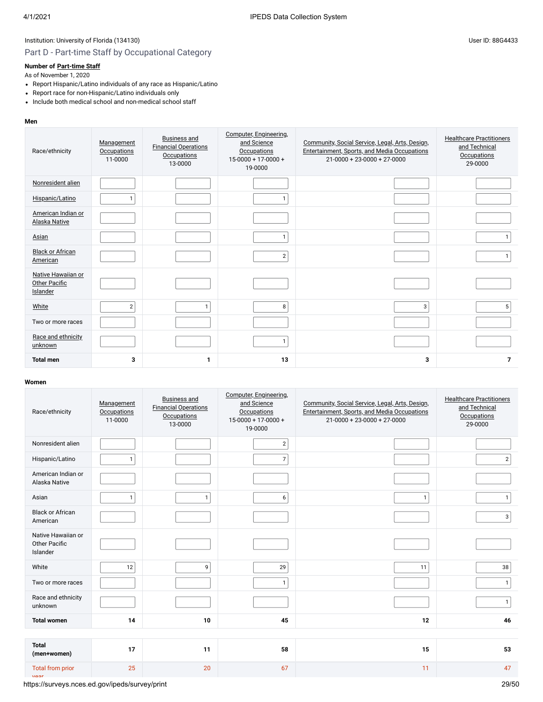# Part D - Part-time Staff by Occupational Category

# **Number of [Part-time Staff](javascript:openglossary(467))**

As of November 1, 2020

- Report Hispanic/Latino individuals of any race as Hispanic/Latino
- Report race for non-Hispanic/Latino individuals only
- Include both medical school and non-medical school staff

#### **Men**

| Race/ethnicity                                  | Management<br><b>Occupations</b><br>11-0000 | <b>Business and</b><br><b>Financial Operations</b><br>Occupations<br>13-0000 | Computer, Engineering,<br>and Science<br><b>Occupations</b><br>$15-0000 + 17-0000 +$<br>19-0000 | Community, Social Service, Legal, Arts, Design,<br>Entertainment, Sports, and Media Occupations<br>$21 - 0000 + 23 - 0000 + 27 - 0000$ | <b>Healthcare Practitioners</b><br>and Technical<br><b>Occupations</b><br>29-0000 |
|-------------------------------------------------|---------------------------------------------|------------------------------------------------------------------------------|-------------------------------------------------------------------------------------------------|----------------------------------------------------------------------------------------------------------------------------------------|-----------------------------------------------------------------------------------|
| Nonresident alien                               |                                             |                                                                              |                                                                                                 |                                                                                                                                        |                                                                                   |
| Hispanic/Latino                                 | $\mathbf{1}$                                |                                                                              |                                                                                                 |                                                                                                                                        |                                                                                   |
| American Indian or<br>Alaska Native             |                                             |                                                                              |                                                                                                 |                                                                                                                                        |                                                                                   |
| Asian                                           |                                             |                                                                              | 1                                                                                               |                                                                                                                                        | $\mathbf{1}$                                                                      |
| <b>Black or African</b><br>American             |                                             |                                                                              | $\overline{2}$                                                                                  |                                                                                                                                        | 1                                                                                 |
| Native Hawaiian or<br>Other Pacific<br>Islander |                                             |                                                                              |                                                                                                 |                                                                                                                                        |                                                                                   |
| White                                           | $\overline{2}$                              | 1                                                                            | 8                                                                                               | 3                                                                                                                                      | 5                                                                                 |
| Two or more races                               |                                             |                                                                              |                                                                                                 |                                                                                                                                        |                                                                                   |
| Race and ethnicity<br>unknown                   |                                             |                                                                              | $\mathbf{1}$                                                                                    |                                                                                                                                        |                                                                                   |
| <b>Total men</b>                                | 3                                           |                                                                              | 13                                                                                              | 3                                                                                                                                      | $\overline{7}$                                                                    |

#### **Women**

| Race/ethnicity                                         | Management<br><b>Occupations</b><br>11-0000 | <b>Business and</b><br><b>Financial Operations</b><br>Occupations<br>13-0000 | Computer, Engineering,<br>and Science<br><b>Occupations</b><br>$15-0000 + 17-0000 +$<br>19-0000 | Community, Social Service, Legal, Arts, Design,<br>Entertainment, Sports, and Media Occupations<br>$21-0000 + 23-0000 + 27-0000$ | <b>Healthcare Practitioners</b><br>and Technical<br><b>Occupations</b><br>29-0000 |
|--------------------------------------------------------|---------------------------------------------|------------------------------------------------------------------------------|-------------------------------------------------------------------------------------------------|----------------------------------------------------------------------------------------------------------------------------------|-----------------------------------------------------------------------------------|
| Nonresident alien                                      |                                             |                                                                              | $\overline{2}$                                                                                  |                                                                                                                                  |                                                                                   |
| Hispanic/Latino                                        | $\mathbf{1}$                                |                                                                              | $\overline{7}$                                                                                  |                                                                                                                                  | $\overline{2}$                                                                    |
| American Indian or<br>Alaska Native                    |                                             |                                                                              |                                                                                                 |                                                                                                                                  |                                                                                   |
| Asian                                                  | $\mathbf{1}$                                | $\mathbf{1}$                                                                 | 6                                                                                               | $\mathbf{1}$                                                                                                                     | $\mathbf{1}$                                                                      |
| <b>Black or African</b><br>American                    |                                             |                                                                              |                                                                                                 |                                                                                                                                  | 3                                                                                 |
| Native Hawaiian or<br><b>Other Pacific</b><br>Islander |                                             |                                                                              |                                                                                                 |                                                                                                                                  |                                                                                   |
| White                                                  | 12                                          | 9                                                                            | 29                                                                                              | 11                                                                                                                               | 38                                                                                |
| Two or more races                                      |                                             |                                                                              | $\mathbf{1}$                                                                                    |                                                                                                                                  | $\mathbf{1}$                                                                      |
| Race and ethnicity<br>unknown                          |                                             |                                                                              |                                                                                                 |                                                                                                                                  | $\mathbf{1}$                                                                      |
| <b>Total women</b>                                     | 14                                          | 10                                                                           | 45                                                                                              | 12                                                                                                                               | 46                                                                                |
|                                                        |                                             |                                                                              |                                                                                                 |                                                                                                                                  |                                                                                   |
| <b>Total</b><br>(men+women)                            | 17                                          | 11                                                                           | 58                                                                                              | 15                                                                                                                               | 53                                                                                |
| <b>Total from prior</b><br>max                         | 25                                          | 20                                                                           | 67                                                                                              | 11                                                                                                                               | 47                                                                                |

https://surveys.nces.ed.gov/ipeds/survey/print 29/50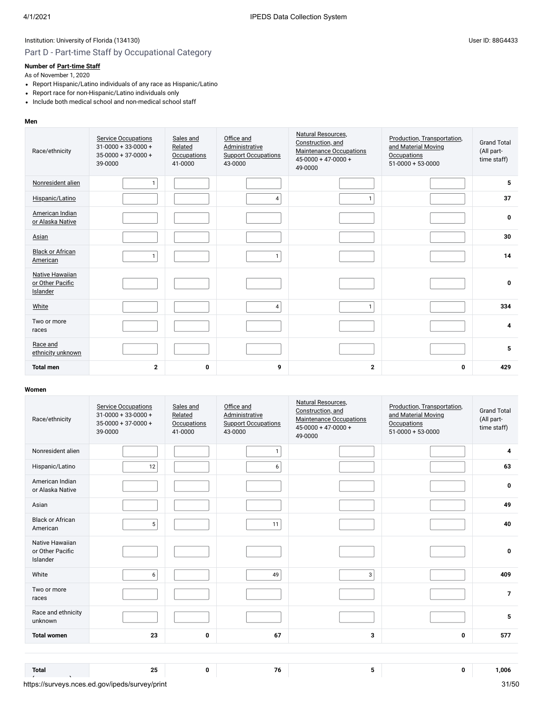# Part D - Part-time Staff by Occupational Category

# **Number of [Part-time Staff](javascript:openglossary(467))**

As of November 1, 2020

- Report Hispanic/Latino individuals of any race as Hispanic/Latino
- Report race for non-Hispanic/Latino individuals only
- Include both medical school and non-medical school staff

#### **Men**

| Race/ethnicity                                  | <b>Service Occupations</b><br>$31 - 0000 + 33 - 0000 +$<br>$35-0000 + 37-0000 +$<br>39-0000 | Sales and<br>Related<br><b>Occupations</b><br>41-0000 | Office and<br>Administrative<br><b>Support Occupations</b><br>43-0000 | Natural Resources,<br>Construction, and<br><b>Maintenance Occupations</b><br>$45 - 0000 + 47 - 0000 +$<br>49-0000 | Production, Transportation,<br>and Material Moving<br><b>Occupations</b><br>$51-0000 + 53-0000$ | <b>Grand Total</b><br>(All part-<br>time staff) |
|-------------------------------------------------|---------------------------------------------------------------------------------------------|-------------------------------------------------------|-----------------------------------------------------------------------|-------------------------------------------------------------------------------------------------------------------|-------------------------------------------------------------------------------------------------|-------------------------------------------------|
| Nonresident alien                               | $\mathbf{1}$                                                                                |                                                       |                                                                       |                                                                                                                   |                                                                                                 | 5                                               |
| Hispanic/Latino                                 |                                                                                             |                                                       | 4                                                                     | 1                                                                                                                 |                                                                                                 | 37                                              |
| American Indian<br>or Alaska Native             |                                                                                             |                                                       |                                                                       |                                                                                                                   |                                                                                                 | $\bf{0}$                                        |
| Asian                                           |                                                                                             |                                                       |                                                                       |                                                                                                                   |                                                                                                 | 30                                              |
| <b>Black or African</b><br>American             | $\mathbf{1}$                                                                                |                                                       | $\mathbf{1}$                                                          |                                                                                                                   |                                                                                                 | 14                                              |
| Native Hawaiian<br>or Other Pacific<br>Islander |                                                                                             |                                                       |                                                                       |                                                                                                                   |                                                                                                 | $\bf{0}$                                        |
| White                                           |                                                                                             |                                                       | $\overline{4}$                                                        | $\mathbf{1}$                                                                                                      |                                                                                                 | 334                                             |
| Two or more<br>races                            |                                                                                             |                                                       |                                                                       |                                                                                                                   |                                                                                                 | 4                                               |
| Race and<br>ethnicity unknown                   |                                                                                             |                                                       |                                                                       |                                                                                                                   |                                                                                                 | 5                                               |
| <b>Total men</b>                                | $\mathbf{2}$                                                                                | 0                                                     | 9                                                                     | $\mathbf{2}$                                                                                                      | $\bf{0}$                                                                                        | 429                                             |

#### **Women**

**Total**

| Race/ethnicity                                  | <b>Service Occupations</b><br>$31 - 0000 + 33 - 0000 +$<br>$35 - 0000 + 37 - 0000 +$<br>39-0000 | Sales and<br>Related<br><b>Occupations</b><br>41-0000 | Office and<br>Administrative<br><b>Support Occupations</b><br>43-0000 | Natural Resources,<br>Construction, and<br><b>Maintenance Occupations</b><br>$45 - 0000 + 47 - 0000 +$<br>49-0000 | Production, Transportation,<br>and Material Moving<br><b>Occupations</b><br>$51-0000+53-0000$ | <b>Grand Total</b><br>(All part-<br>time staff) |
|-------------------------------------------------|-------------------------------------------------------------------------------------------------|-------------------------------------------------------|-----------------------------------------------------------------------|-------------------------------------------------------------------------------------------------------------------|-----------------------------------------------------------------------------------------------|-------------------------------------------------|
| Nonresident alien                               |                                                                                                 |                                                       | $\mathbf{1}$                                                          |                                                                                                                   |                                                                                               | 4                                               |
| Hispanic/Latino                                 | 12                                                                                              |                                                       | 6                                                                     |                                                                                                                   |                                                                                               | 63                                              |
| American Indian<br>or Alaska Native             |                                                                                                 |                                                       |                                                                       |                                                                                                                   |                                                                                               | $\bf{0}$                                        |
| Asian                                           |                                                                                                 |                                                       |                                                                       |                                                                                                                   |                                                                                               | 49                                              |
| <b>Black or African</b><br>American             | 5                                                                                               |                                                       | 11                                                                    |                                                                                                                   |                                                                                               | 40                                              |
| Native Hawaiian<br>or Other Pacific<br>Islander |                                                                                                 |                                                       |                                                                       |                                                                                                                   |                                                                                               | 0                                               |
| White                                           | 6                                                                                               |                                                       | 49                                                                    | 3                                                                                                                 |                                                                                               | 409                                             |
| Two or more<br>races                            |                                                                                                 |                                                       |                                                                       |                                                                                                                   |                                                                                               | $\overline{7}$                                  |
| Race and ethnicity<br>unknown                   |                                                                                                 |                                                       |                                                                       |                                                                                                                   |                                                                                               | 5                                               |
| <b>Total women</b>                              | 23                                                                                              | 0                                                     | 67                                                                    | 3                                                                                                                 | 0                                                                                             | 577                                             |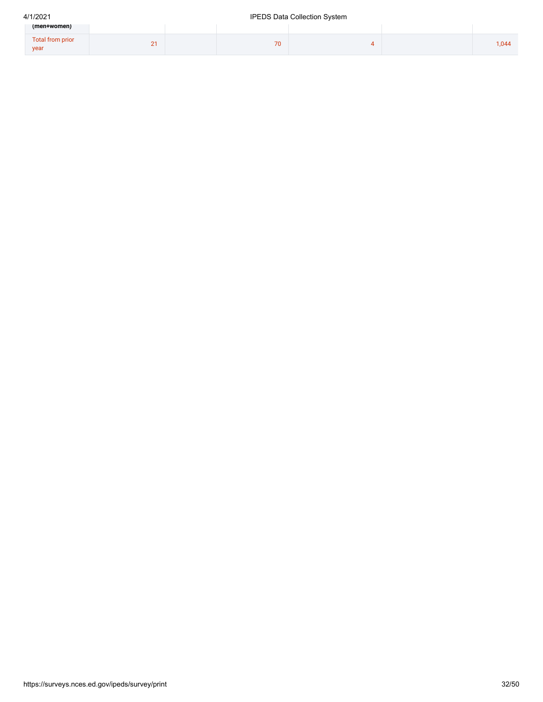# 4/1/2021 IPEDS Data Collection System

| (men+women)              |   |    |  |       |
|--------------------------|---|----|--|-------|
| Total from prior<br>year | - | 70 |  | 1,044 |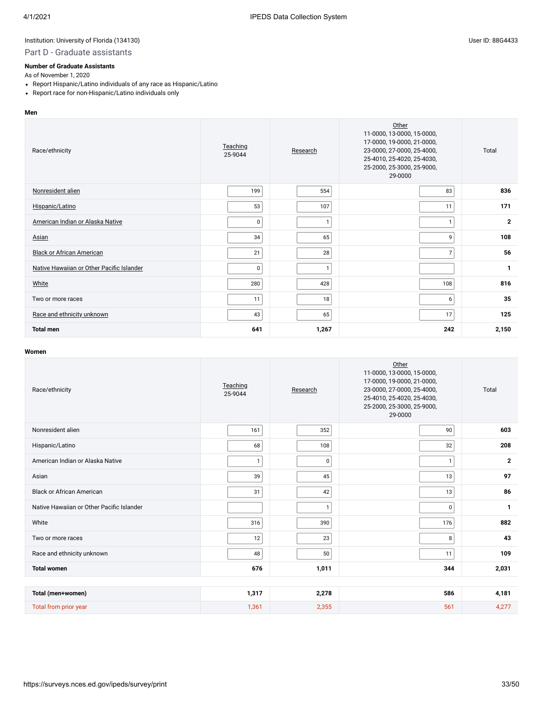# Part D - Graduate assistants

#### **Number of Graduate Assistants**

As of November 1, 2020

- Report Hispanic/Latino individuals of any race as Hispanic/Latino
- Report race for non-Hispanic/Latino individuals only

#### **Men**

| Race/ethnicity                            | Teaching<br>25-9044 | Research     | Other<br>11-0000, 13-0000, 15-0000,<br>17-0000, 19-0000, 21-0000,<br>23-0000, 27-0000, 25-4000,<br>25-4010, 25-4020, 25-4030,<br>25-2000, 25-3000, 25-9000,<br>29-0000 | Total        |
|-------------------------------------------|---------------------|--------------|------------------------------------------------------------------------------------------------------------------------------------------------------------------------|--------------|
| Nonresident alien                         | 199                 | 554          | 83                                                                                                                                                                     | 836          |
| Hispanic/Latino                           | 53                  | 107          | 11                                                                                                                                                                     | 171          |
| American Indian or Alaska Native          | $\mathbf 0$         | $\mathbf{1}$ | 1                                                                                                                                                                      | $\mathbf{2}$ |
| Asian                                     | 34                  | 65           | 9                                                                                                                                                                      | 108          |
| <b>Black or African American</b>          | 21                  | 28           | $\overline{7}$                                                                                                                                                         | 56           |
| Native Hawaiian or Other Pacific Islander | $\mathbf 0$         | $\mathbf{1}$ |                                                                                                                                                                        | $\mathbf{1}$ |
| White                                     | 280                 | 428          | 108                                                                                                                                                                    | 816          |
| Two or more races                         | 11                  | 18           | 6                                                                                                                                                                      | 35           |
| Race and ethnicity unknown                | 43                  | 65           | 17                                                                                                                                                                     | 125          |
| <b>Total men</b>                          | 641                 | 1,267        | 242                                                                                                                                                                    | 2,150        |

| Race/ethnicity                            | Teaching<br>25-9044 | Research     | Other<br>11-0000, 13-0000, 15-0000,<br>17-0000, 19-0000, 21-0000,<br>23-0000, 27-0000, 25-4000,<br>25-4010, 25-4020, 25-4030,<br>25-2000, 25-3000, 25-9000,<br>29-0000 | Total          |
|-------------------------------------------|---------------------|--------------|------------------------------------------------------------------------------------------------------------------------------------------------------------------------|----------------|
| Nonresident alien                         | 161                 | 352          | 90                                                                                                                                                                     | 603            |
| Hispanic/Latino                           | 68                  | 108          | 32                                                                                                                                                                     | 208            |
| American Indian or Alaska Native          | $\mathbf{1}$        | 0            | $\mathbf{1}$                                                                                                                                                           | $\overline{2}$ |
| Asian                                     | 39                  | 45           | 13                                                                                                                                                                     | 97             |
| <b>Black or African American</b>          | 31                  | 42           | 13                                                                                                                                                                     | 86             |
| Native Hawaiian or Other Pacific Islander |                     | $\mathbf{1}$ | $\mathbf 0$                                                                                                                                                            | $\mathbf{1}$   |
| White                                     | 316                 | 390          | 176                                                                                                                                                                    | 882            |
| Two or more races                         | 12                  | 23           | 8                                                                                                                                                                      | 43             |
| Race and ethnicity unknown                | 48                  | 50           | 11                                                                                                                                                                     | 109            |
| <b>Total women</b>                        | 676                 | 1,011        | 344                                                                                                                                                                    | 2,031          |
|                                           |                     |              |                                                                                                                                                                        |                |
| Total (men+women)                         | 1,317               | 2,278        | 586                                                                                                                                                                    | 4,181          |
| Total from prior year                     | 1,361               | 2,355        | 561                                                                                                                                                                    | 4,277          |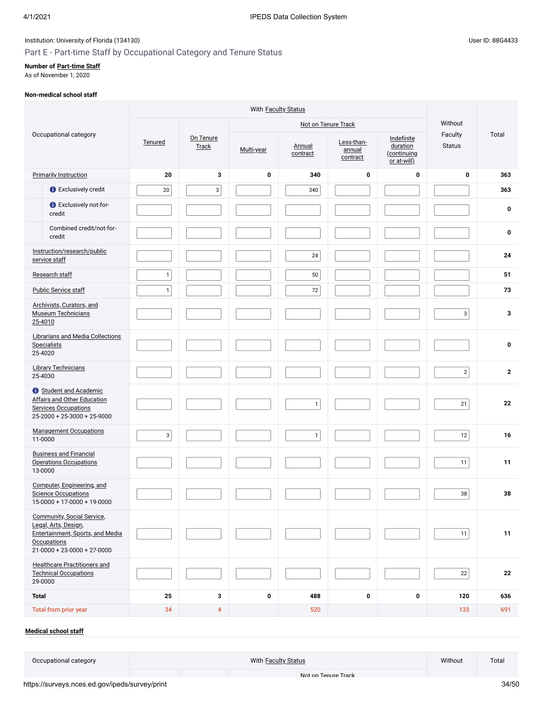# Part E - Part-time Staff by Occupational Category and Tenure Status

#### **Number of [Part-time Staff](javascript:openglossary(467))**

As of November 1, 2020

#### **Non-medical school staff**

|              |                                                                                                                                                      |              |                    |             |                    | Not on Tenure Track              | Without                                              |                          |                  |
|--------------|------------------------------------------------------------------------------------------------------------------------------------------------------|--------------|--------------------|-------------|--------------------|----------------------------------|------------------------------------------------------|--------------------------|------------------|
|              | Occupational category                                                                                                                                | Tenured      | On Tenure<br>Track | Multi-year  | Annual<br>contract | Less-than-<br>annual<br>contract | Indefinite<br>duration<br>(continuing<br>or at-will) | Faculty<br><b>Status</b> | Total            |
|              | <b>Primarily Instruction</b>                                                                                                                         | 20           | 3                  | $\bf{0}$    | 340                | 0                                | 0                                                    | $\pmb{0}$                | 363              |
|              | <b>O</b> Exclusively credit                                                                                                                          | 20           | $\mathsf 3$        |             | 340                |                                  |                                                      |                          | 363              |
|              | <b>C</b> Exclusively not-for-<br>credit                                                                                                              |              |                    |             |                    |                                  |                                                      |                          | 0                |
|              | Combined credit/not-for-<br>credit                                                                                                                   |              |                    |             |                    |                                  |                                                      |                          | $\boldsymbol{0}$ |
|              | Instruction/research/public<br>service staff                                                                                                         |              |                    |             | $24\,$             |                                  |                                                      |                          | 24               |
|              | Research staff                                                                                                                                       | $\mathbf{1}$ |                    |             | $50\,$             |                                  |                                                      |                          | 51               |
|              | <b>Public Service staff</b>                                                                                                                          | $\mathbf{1}$ |                    |             | 72                 |                                  |                                                      |                          | 73               |
| 25-4010      | Archivists, Curators, and<br><b>Museum Technicians</b>                                                                                               |              |                    |             |                    |                                  |                                                      | 3                        | 3                |
| 25-4020      | Librarians and Media Collections<br><b>Specialists</b>                                                                                               |              |                    |             |                    |                                  |                                                      |                          | $\mathbf 0$      |
| 25-4030      | <b>Library Technicians</b>                                                                                                                           |              |                    |             |                    |                                  |                                                      | $\mathbf 2$              | $\mathbf{2}$     |
|              | <b>t</b> Student and Academic<br>Affairs and Other Education<br><b>Services Occupations</b><br>$25-2000 + 25-3000 + 25-9000$                         |              |                    |             | $\mathbf{1}$       |                                  |                                                      | 21                       | 22               |
| 11-0000      | <b>Management Occupations</b>                                                                                                                        | $\mathbf{3}$ |                    |             | $\mathbf{1}$       |                                  |                                                      | 12                       | 16               |
| 13-0000      | <b>Business and Financial</b><br><b>Operations Occupations</b>                                                                                       |              |                    |             |                    |                                  |                                                      | 11                       | 11               |
|              | Computer, Engineering, and<br><b>Science Occupations</b><br>$15-0000 + 17-0000 + 19-0000$                                                            |              |                    |             |                    |                                  |                                                      | 38                       | 38               |
|              | <b>Community, Social Service,</b><br>Legal, Arts, Design,<br>Entertainment, Sports, and Media<br><b>Occupations</b><br>$21-0000 + 23-0000 + 27-0000$ |              |                    |             |                    |                                  |                                                      | 11                       | 11               |
| 29-0000      | <b>Healthcare Practitioners and</b><br><b>Technical Occupations</b>                                                                                  |              |                    |             |                    |                                  |                                                      | 22                       | 22               |
| <b>Total</b> |                                                                                                                                                      | 25           | 3                  | $\mathbf 0$ | 488                | 0                                | 0                                                    | 120                      | 636              |
|              | Total from prior year                                                                                                                                | 34           | $\overline{4}$     |             | 520                |                                  |                                                      | 133                      | 691              |

### **[Medical school staff](javascript:openglossary(393))**

Occupational category **Contract Contract Contract Contract Contract Contract Contract Contract Contract Contract Contract Total Contract Contract Contract Total Contract Total Contract Contract Contract Contract Contract C** 

Not on [Tenure](javascript:openglossary(966)) Track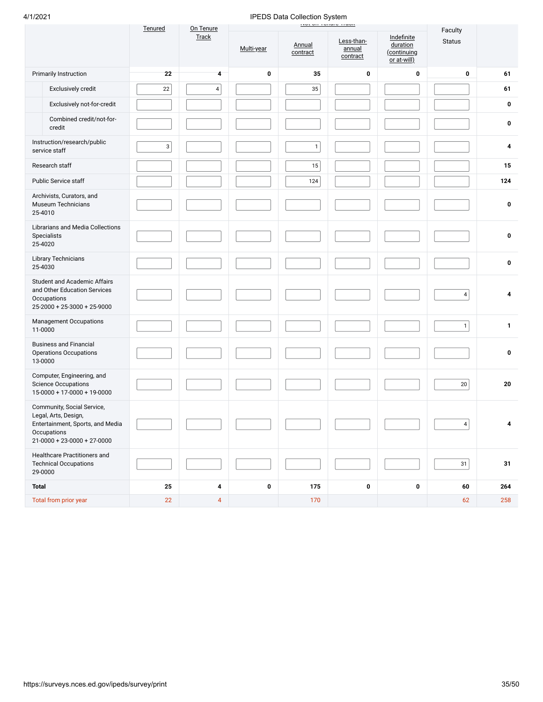| 4/1/2021                                                                                                                               |         |                    |            | IPEDS Data Collection System |                                                         |                                                      |                          |              |
|----------------------------------------------------------------------------------------------------------------------------------------|---------|--------------------|------------|------------------------------|---------------------------------------------------------|------------------------------------------------------|--------------------------|--------------|
|                                                                                                                                        | Tenured | On Tenure<br>Track | Multi-year | Annual<br>contract           | <b>HOLDREDGROUP</b><br>Less-than-<br>annual<br>contract | Indefinite<br>duration<br>(continuing<br>or at-will) | Faculty<br><b>Status</b> |              |
| <b>Primarily Instruction</b>                                                                                                           | 22      | 4                  | $\bf{0}$   | 35                           | 0                                                       | 0                                                    | 0                        | 61           |
| Exclusively credit                                                                                                                     | 22      | $\pmb{4}$          |            | 35                           |                                                         |                                                      |                          | 61           |
| Exclusively not-for-credit                                                                                                             |         |                    |            |                              |                                                         |                                                      |                          | 0            |
| Combined credit/not-for-<br>credit                                                                                                     |         |                    |            |                              |                                                         |                                                      |                          | 0            |
| Instruction/research/public<br>service staff                                                                                           | 3       |                    |            | $\mathbf{1}$                 |                                                         |                                                      |                          | 4            |
| Research staff                                                                                                                         |         |                    |            | 15                           |                                                         |                                                      |                          | 15           |
| Public Service staff                                                                                                                   |         |                    |            | 124                          |                                                         |                                                      |                          | 124          |
| Archivists, Curators, and<br><b>Museum Technicians</b><br>25-4010                                                                      |         |                    |            |                              |                                                         |                                                      |                          | 0            |
| Librarians and Media Collections<br>Specialists<br>25-4020                                                                             |         |                    |            |                              |                                                         |                                                      |                          | 0            |
| Library Technicians<br>25-4030                                                                                                         |         |                    |            |                              |                                                         |                                                      |                          | $\mathbf 0$  |
| Student and Academic Affairs<br>and Other Education Services<br>Occupations<br>$25-2000 + 25-3000 + 25-9000$                           |         |                    |            |                              |                                                         |                                                      | 4                        | 4            |
| <b>Management Occupations</b><br>11-0000                                                                                               |         |                    |            |                              |                                                         |                                                      | 1                        | $\mathbf{1}$ |
| <b>Business and Financial</b><br><b>Operations Occupations</b><br>13-0000                                                              |         |                    |            |                              |                                                         |                                                      |                          | 0            |
| Computer, Engineering, and<br><b>Science Occupations</b><br>$15-0000 + 17-0000 + 19-0000$                                              |         |                    |            |                              |                                                         |                                                      | $20\,$                   | 20           |
| Community, Social Service,<br>Legal, Arts, Design,<br>Entertainment, Sports, and Media<br>Occupations<br>$21-0000 + 23-0000 + 27-0000$ |         |                    |            |                              |                                                         |                                                      | 4                        | 4            |
| Healthcare Practitioners and<br><b>Technical Occupations</b><br>29-0000                                                                |         |                    |            |                              |                                                         |                                                      | 31                       | 31           |
| <b>Total</b>                                                                                                                           | 25      | 4                  | $\pmb{0}$  | 175                          | 0                                                       | 0                                                    | 60                       | 264          |
| Total from prior year                                                                                                                  | 22      | $\overline{4}$     |            | 170                          |                                                         |                                                      | 62                       | 258          |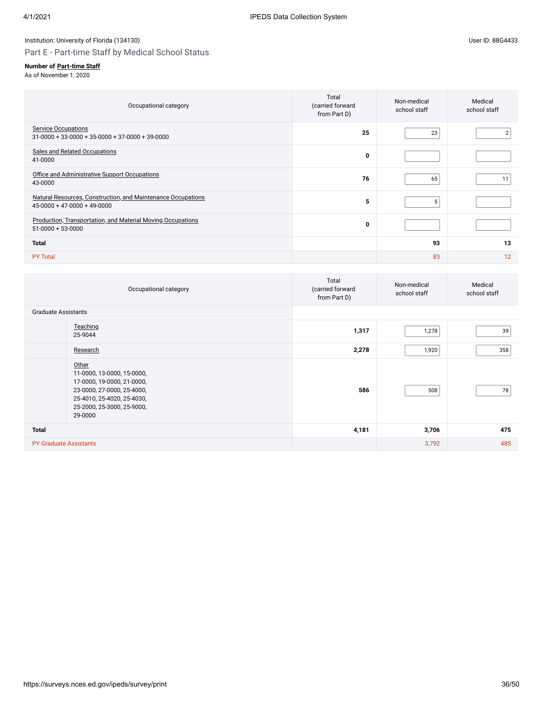# Part E - Part-time Staff by Medical School Status

## **Number of [Part-time Staff](javascript:openglossary(467))**

| Occupational category                                                                         | Total<br>(carried forward<br>from Part D) | Non-medical<br>school staff | Medical<br>school staff |
|-----------------------------------------------------------------------------------------------|-------------------------------------------|-----------------------------|-------------------------|
| <b>Service Occupations</b><br>$31-0000 + 33-0000 + 35-0000 + 37-0000 + 39-0000$               | 25                                        | 23                          |                         |
| Sales and Related Occupations<br>41-0000                                                      | 0                                         |                             |                         |
| Office and Administrative Support Occupations<br>43-0000                                      | 76                                        | 65                          | 11                      |
| Natural Resources, Construction, and Maintenance Occupations<br>$45-0000 + 47-0000 + 49-0000$ | 5                                         | 5                           |                         |
| <b>Production, Transportation, and Material Moving Occupations</b><br>$51-0000 + 53-0000$     | $\mathbf 0$                               |                             |                         |
| <b>Total</b>                                                                                  |                                           | 93                          | 13                      |
| <b>PY Total</b>                                                                               |                                           | 83                          | 12                      |

| Occupational category                                                                                                                                                  | Total<br>(carried forward<br>from Part D) | Non-medical<br>school staff | Medical<br>school staff |
|------------------------------------------------------------------------------------------------------------------------------------------------------------------------|-------------------------------------------|-----------------------------|-------------------------|
| <b>Graduate Assistants</b>                                                                                                                                             |                                           |                             |                         |
| Teaching<br>25-9044                                                                                                                                                    | 1,317                                     | 1,278                       | 39                      |
| Research                                                                                                                                                               | 2,278                                     | 1,920                       | 358                     |
| Other<br>11-0000, 13-0000, 15-0000,<br>17-0000, 19-0000, 21-0000,<br>23-0000, 27-0000, 25-4000,<br>25-4010, 25-4020, 25-4030,<br>25-2000, 25-3000, 25-9000,<br>29-0000 | 586                                       | 508                         | 78                      |
| <b>Total</b>                                                                                                                                                           | 4,181                                     | 3,706                       | 475                     |
| <b>PY Graduate Assistants</b>                                                                                                                                          |                                           | 3,792                       | 485                     |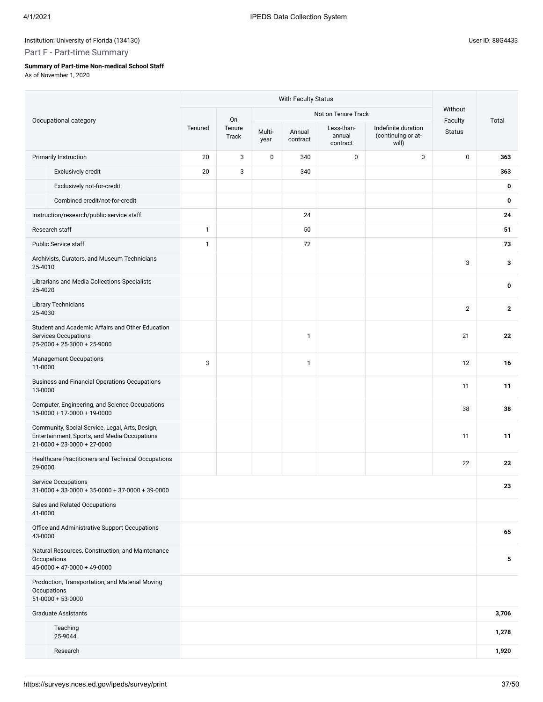# Part F - Part-time Summary

## **Summary of Part-time Non-medical School Staff**

|         |                                                                                                                                        | With Faculty Status |                 |                |                    |                                  |                                                    |                    |              |  |  |
|---------|----------------------------------------------------------------------------------------------------------------------------------------|---------------------|-----------------|----------------|--------------------|----------------------------------|----------------------------------------------------|--------------------|--------------|--|--|
|         |                                                                                                                                        |                     | On              |                |                    | Not on Tenure Track              |                                                    | Without<br>Faculty | Total        |  |  |
|         | Occupational category                                                                                                                  | Tenured             | Tenure<br>Track | Multi-<br>year | Annual<br>contract | Less-than-<br>annual<br>contract | Indefinite duration<br>(continuing or at-<br>will) | <b>Status</b>      |              |  |  |
|         | <b>Primarily Instruction</b>                                                                                                           | 20                  | 3               | $\mathbf 0$    | 340                | 0                                | $\mathbf 0$                                        | $\pmb{0}$          | 363          |  |  |
|         | Exclusively credit                                                                                                                     | 20                  | 3               |                | 340                |                                  |                                                    |                    | 363          |  |  |
|         | Exclusively not-for-credit                                                                                                             |                     |                 |                |                    |                                  |                                                    |                    | 0            |  |  |
|         | Combined credit/not-for-credit                                                                                                         |                     |                 |                |                    |                                  |                                                    |                    | 0            |  |  |
|         | Instruction/research/public service staff                                                                                              |                     |                 |                | 24                 |                                  |                                                    |                    | 24           |  |  |
|         | Research staff                                                                                                                         | 1                   |                 |                | 50                 |                                  |                                                    |                    | 51           |  |  |
|         | Public Service staff                                                                                                                   | 1                   |                 |                | 72                 |                                  |                                                    |                    | 73           |  |  |
| 25-4010 | Archivists, Curators, and Museum Technicians                                                                                           |                     |                 |                |                    |                                  |                                                    | 3                  | 3            |  |  |
| 25-4020 | Librarians and Media Collections Specialists                                                                                           |                     |                 |                |                    |                                  |                                                    |                    | 0            |  |  |
| 25-4030 | <b>Library Technicians</b>                                                                                                             |                     |                 |                |                    |                                  |                                                    | $\mathbf{2}$       | $\mathbf{2}$ |  |  |
|         | Student and Academic Affairs and Other Education<br><b>Services Occupations</b><br>$25-2000 + 25-3000 + 25-9000$                       |                     |                 |                | $\mathbf{1}$       |                                  |                                                    | 21                 | 22           |  |  |
| 11-0000 | <b>Management Occupations</b>                                                                                                          | 3                   |                 |                | $\mathbf{1}$       |                                  |                                                    | 12                 | 16           |  |  |
| 13-0000 | Business and Financial Operations Occupations                                                                                          |                     |                 |                |                    |                                  |                                                    | 11                 | 11           |  |  |
|         | Computer, Engineering, and Science Occupations<br>$15-0000 + 17-0000 + 19-0000$                                                        |                     |                 |                |                    |                                  |                                                    | 38                 | 38           |  |  |
|         | Community, Social Service, Legal, Arts, Design,<br>Entertainment, Sports, and Media Occupations<br>$21 - 0000 + 23 - 0000 + 27 - 0000$ |                     |                 |                |                    |                                  |                                                    | 11                 | 11           |  |  |
| 29-0000 | Healthcare Practitioners and Technical Occupations                                                                                     |                     |                 |                |                    |                                  |                                                    | 22                 | 22           |  |  |
|         | <b>Service Occupations</b><br>$31-0000 + 33-0000 + 35-0000 + 37-0000 + 39-0000$                                                        |                     |                 |                |                    |                                  |                                                    |                    | 23           |  |  |
| 41-0000 | Sales and Related Occupations                                                                                                          |                     |                 |                |                    |                                  |                                                    |                    |              |  |  |
| 43-0000 | Office and Administrative Support Occupations                                                                                          |                     |                 |                |                    |                                  |                                                    |                    | 65           |  |  |
|         | Natural Resources, Construction, and Maintenance<br>Occupations<br>$45-0000 + 47-0000 + 49-0000$                                       |                     |                 |                |                    |                                  |                                                    |                    | 5            |  |  |
|         | Production, Transportation, and Material Moving<br>Occupations<br>$51-0000+53-0000$                                                    |                     |                 |                |                    |                                  |                                                    |                    |              |  |  |
|         | <b>Graduate Assistants</b>                                                                                                             |                     |                 |                |                    |                                  |                                                    |                    | 3,706        |  |  |
|         | Teaching<br>25-9044                                                                                                                    |                     |                 |                |                    |                                  |                                                    |                    | 1,278        |  |  |
|         | Research                                                                                                                               |                     |                 |                |                    |                                  |                                                    |                    | 1,920        |  |  |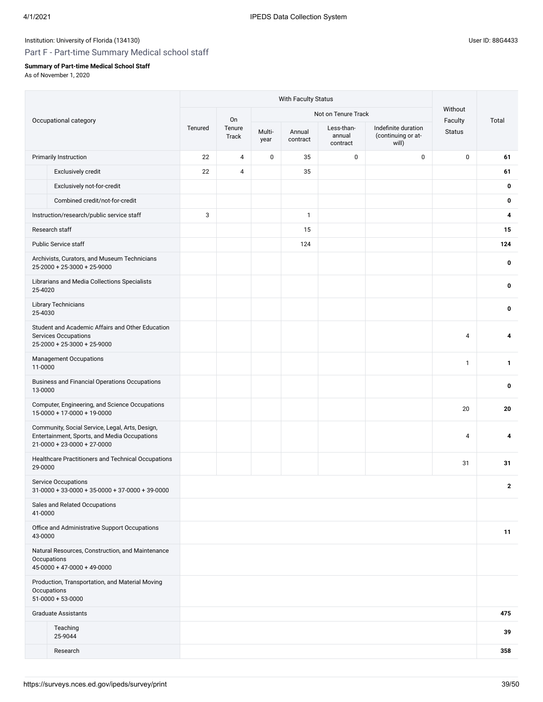# Part F - Part-time Summary Medical school staff

## **Summary of Part-time Medical School Staff**

|         |                                                                                                                                  | With Faculty Status |                 |                |                    |                                  |                                                    |                          |              |  |
|---------|----------------------------------------------------------------------------------------------------------------------------------|---------------------|-----------------|----------------|--------------------|----------------------------------|----------------------------------------------------|--------------------------|--------------|--|
|         |                                                                                                                                  |                     | On              |                |                    | Not on Tenure Track              |                                                    | Without                  | Total        |  |
|         | Occupational category                                                                                                            | Tenured             | Tenure<br>Track | Multi-<br>year | Annual<br>contract | Less-than-<br>annual<br>contract | Indefinite duration<br>(continuing or at-<br>will) | Faculty<br><b>Status</b> |              |  |
|         | <b>Primarily Instruction</b>                                                                                                     | 22                  | 4               | $\pmb{0}$      | 35                 | 0                                | $\mathbf 0$                                        | $\pmb{0}$                | 61           |  |
|         | Exclusively credit                                                                                                               | 22                  | 4               |                | 35                 |                                  |                                                    |                          | 61           |  |
|         | Exclusively not-for-credit                                                                                                       |                     |                 |                |                    |                                  |                                                    |                          | 0            |  |
|         | Combined credit/not-for-credit                                                                                                   |                     |                 |                |                    |                                  |                                                    |                          | 0            |  |
|         | Instruction/research/public service staff                                                                                        | 3                   |                 |                | $\mathbf{1}$       |                                  |                                                    |                          | 4            |  |
|         | Research staff                                                                                                                   |                     |                 |                | 15                 |                                  |                                                    |                          | 15           |  |
|         | <b>Public Service staff</b>                                                                                                      |                     |                 |                | 124                |                                  |                                                    |                          | 124          |  |
|         | Archivists, Curators, and Museum Technicians<br>$25 - 2000 + 25 - 3000 + 25 - 9000$                                              |                     |                 |                |                    |                                  |                                                    |                          | 0            |  |
| 25-4020 | Librarians and Media Collections Specialists                                                                                     |                     |                 |                |                    |                                  |                                                    |                          | 0            |  |
| 25-4030 | <b>Library Technicians</b>                                                                                                       |                     |                 |                |                    |                                  |                                                    |                          | 0            |  |
|         | Student and Academic Affairs and Other Education<br><b>Services Occupations</b><br>$25 - 2000 + 25 - 3000 + 25 - 9000$           |                     |                 |                |                    |                                  |                                                    | $\overline{4}$           | 4            |  |
| 11-0000 | <b>Management Occupations</b>                                                                                                    |                     |                 |                |                    |                                  |                                                    | $\mathbf{1}$             | 1            |  |
| 13-0000 | Business and Financial Operations Occupations                                                                                    |                     |                 |                |                    |                                  |                                                    |                          | 0            |  |
|         | Computer, Engineering, and Science Occupations<br>15-0000 + 17-0000 + 19-0000                                                    |                     |                 |                |                    |                                  |                                                    | 20                       | 20           |  |
|         | Community, Social Service, Legal, Arts, Design,<br>Entertainment, Sports, and Media Occupations<br>$21-0000 + 23-0000 + 27-0000$ |                     |                 |                |                    |                                  |                                                    | 4                        | 4            |  |
| 29-0000 | Healthcare Practitioners and Technical Occupations                                                                               |                     |                 |                |                    |                                  |                                                    | 31                       | 31           |  |
|         | <b>Service Occupations</b><br>$31-0000 + 33-0000 + 35-0000 + 37-0000 + 39-0000$                                                  |                     |                 |                |                    |                                  |                                                    |                          | $\mathbf{2}$ |  |
| 41-0000 | Sales and Related Occupations                                                                                                    |                     |                 |                |                    |                                  |                                                    |                          |              |  |
| 43-0000 | Office and Administrative Support Occupations                                                                                    |                     |                 |                |                    |                                  |                                                    |                          | 11           |  |
|         | Natural Resources, Construction, and Maintenance<br>Occupations<br>$45-0000 + 47-0000 + 49-0000$                                 |                     |                 |                |                    |                                  |                                                    |                          |              |  |
|         | Production, Transportation, and Material Moving<br>Occupations<br>$51-0000 + 53-0000$                                            |                     |                 |                |                    |                                  |                                                    |                          |              |  |
|         | <b>Graduate Assistants</b>                                                                                                       |                     |                 |                |                    |                                  |                                                    |                          | 475          |  |
|         | Teaching<br>25-9044                                                                                                              |                     |                 |                |                    |                                  |                                                    |                          | 39           |  |
|         | Research                                                                                                                         |                     |                 |                |                    |                                  |                                                    |                          | 358          |  |
|         |                                                                                                                                  |                     |                 |                |                    |                                  |                                                    |                          |              |  |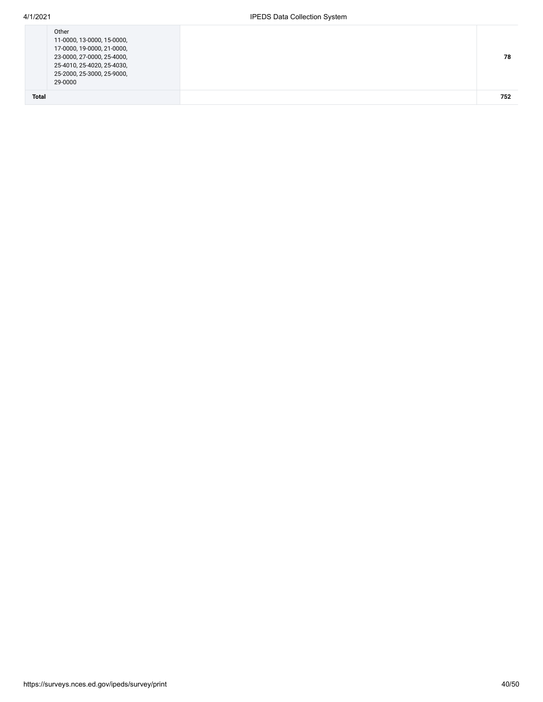| 29-0000<br><b>Total</b>                                  |  |
|----------------------------------------------------------|--|
| 25-4010, 25-4020, 25-4030,<br>25-2000, 25-3000, 25-9000, |  |
| 23-0000, 27-0000, 25-4000,                               |  |
| 17-0000, 19-0000, 21-0000,                               |  |
| 11-0000, 13-0000, 15-0000,                               |  |
| Other                                                    |  |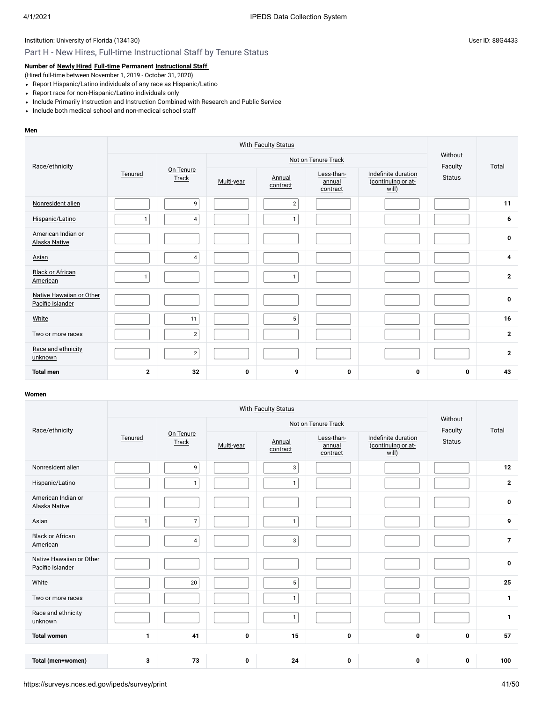# Part H - New Hires, Full-time Instructional Staff by Tenure Status

## **Number of [Newly Hired](javascript:openglossary(407)) [Full-time](javascript:openglossary(257)) Permanent [Instructional Staff](javascript:openglossary(996))**

(Hired full-time between November 1, 2019 - October 31, 2020)

- Report Hispanic/Latino individuals of any race as Hispanic/Latino
- Report race for non-Hispanic/Latino individuals only
- Include Primarily Instruction and Instruction Combined with Research and Public Service
- Include both medical school and non-medical school staff

#### **Men**

| Race/ethnicity                               |              |                    |             | Not on Tenure Track | Without<br>Faculty               | Total                                              |               |                |
|----------------------------------------------|--------------|--------------------|-------------|---------------------|----------------------------------|----------------------------------------------------|---------------|----------------|
|                                              | Tenured      | On Tenure<br>Track | Multi-year  | Annual<br>contract  | Less-than-<br>annual<br>contract | Indefinite duration<br>(continuing or at-<br>will) | <b>Status</b> |                |
| Nonresident alien                            |              | 9                  |             | $\overline{2}$      |                                  |                                                    |               | 11             |
| Hispanic/Latino                              | 1            | $\overline{4}$     |             | $\mathbf{1}$        |                                  |                                                    |               | 6              |
| American Indian or<br>Alaska Native          |              |                    |             |                     |                                  |                                                    |               | $\mathbf 0$    |
| Asian                                        |              | $\overline{4}$     |             |                     |                                  |                                                    |               | 4              |
| <b>Black or African</b><br>American          | $\mathbf{1}$ |                    |             | $\mathbf{1}$        |                                  |                                                    |               | $\overline{2}$ |
| Native Hawaiian or Other<br>Pacific Islander |              |                    |             |                     |                                  |                                                    |               | $\pmb{0}$      |
| White                                        |              | 11                 |             | 5                   |                                  |                                                    |               | 16             |
| Two or more races                            |              | $\overline{2}$     |             |                     |                                  |                                                    |               | $\overline{2}$ |
| Race and ethnicity<br>unknown                |              | $\overline{2}$     |             |                     |                                  |                                                    |               | $\overline{2}$ |
| <b>Total men</b>                             | $\mathbf{2}$ | 32                 | $\mathbf 0$ | 9                   | 0                                | 0                                                  | 0             | 43             |

| Race/ethnicity                               |              |                |                    | Not on Tenure Track | Without<br>Faculty | Total                            |                                                    |                  |  |
|----------------------------------------------|--------------|----------------|--------------------|---------------------|--------------------|----------------------------------|----------------------------------------------------|------------------|--|
|                                              | Tenured      |                | On Tenure<br>Track | Multi-year          | Annual<br>contract | Less-than-<br>annual<br>contract | Indefinite duration<br>(continuing or at-<br>will) | <b>Status</b>    |  |
| Nonresident alien                            |              | 9              |                    | 3                   |                    |                                  |                                                    | 12               |  |
| Hispanic/Latino                              |              | $\mathbf{1}$   |                    | $\mathbf{1}$        |                    |                                  |                                                    | $\mathbf{2}$     |  |
| American Indian or<br>Alaska Native          |              |                |                    |                     |                    |                                  |                                                    | 0                |  |
| Asian                                        | $\mathbf{1}$ | $\overline{7}$ |                    | $\mathbf{1}$        |                    |                                  |                                                    | 9                |  |
| <b>Black or African</b><br>American          |              | $\overline{4}$ |                    | 3                   |                    |                                  |                                                    | $\overline{7}$   |  |
| Native Hawaiian or Other<br>Pacific Islander |              |                |                    |                     |                    |                                  |                                                    | $\boldsymbol{0}$ |  |
| White                                        |              | 20             |                    | $5\phantom{.0}$     |                    |                                  |                                                    | 25               |  |
| Two or more races                            |              |                |                    | $\mathbf{1}$        |                    |                                  |                                                    | 1                |  |
| Race and ethnicity<br>unknown                |              |                |                    | $\mathbf{1}$        |                    |                                  |                                                    | $\mathbf{1}$     |  |
| <b>Total women</b>                           | 1            | 41             | $\mathbf 0$        | 15                  | 0                  | $\mathbf{0}$                     | 0                                                  | 57               |  |
|                                              |              |                |                    |                     |                    |                                  |                                                    |                  |  |
| Total (men+women)                            | 3            | 73             | $\mathbf 0$        | 24                  | 0                  | 0                                | 0                                                  | 100              |  |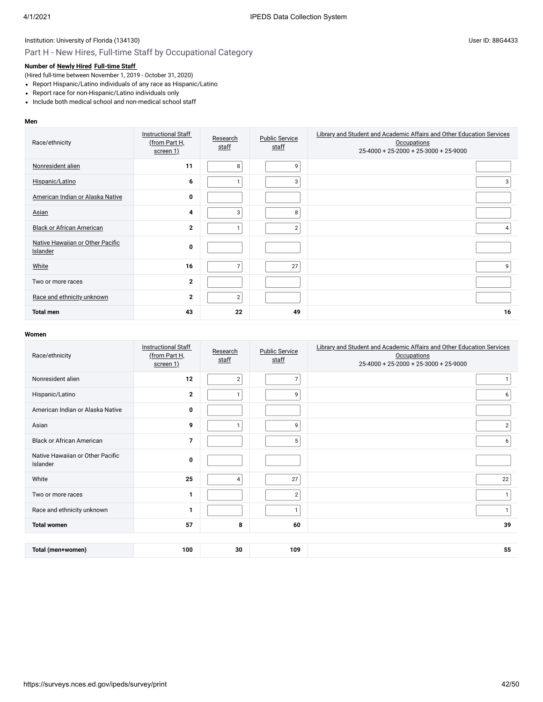# Part H - New Hires, Full-time Staff by Occupational Category

## **Number of [Newly Hired](javascript:openglossary(407)) [Full-time Staff](javascript:openglossary(257))**

(Hired full-time between November 1, 2019 - October 31, 2020)

- Report Hispanic/Latino individuals of any race as Hispanic/Latino
- Report race for non-Hispanic/Latino individuals only
- Include both medical school and non-medical school staff

#### **Men**

| Race/ethnicity                               | <b>Instructional Staff</b><br>(from Part H,<br>screen 1) | Research<br>staff | <b>Public Service</b><br>staff | <b>Library and Student and Academic Affairs and Other Education Services</b><br><b>Occupations</b><br>25-4000 + 25-2000 + 25-3000 + 25-9000 |
|----------------------------------------------|----------------------------------------------------------|-------------------|--------------------------------|---------------------------------------------------------------------------------------------------------------------------------------------|
| Nonresident alien                            | 11                                                       | 8                 | 9                              |                                                                                                                                             |
| Hispanic/Latino                              | 6                                                        | $\mathbf{1}$      | 3                              | 3                                                                                                                                           |
| American Indian or Alaska Native             | 0                                                        |                   |                                |                                                                                                                                             |
| Asian                                        | 4                                                        | 3                 | 8                              |                                                                                                                                             |
| <b>Black or African American</b>             | $\mathbf{2}$                                             | 1                 | $\overline{2}$                 | 4                                                                                                                                           |
| Native Hawaiian or Other Pacific<br>Islander | 0                                                        |                   |                                |                                                                                                                                             |
| White                                        | 16                                                       | $\overline{7}$    | 27                             | 9                                                                                                                                           |
| Two or more races                            | $\mathbf{2}$                                             |                   |                                |                                                                                                                                             |
| Race and ethnicity unknown                   | $\mathbf{2}$                                             | $\overline{2}$    |                                |                                                                                                                                             |
| <b>Total men</b>                             | 43                                                       | 22                | 49                             | 16                                                                                                                                          |

| Race/ethnicity                               | <b>Instructional Staff</b><br>(from Part H,<br>screen 1) | Research<br>staff | <b>Public Service</b><br>staff | Library and Student and Academic Affairs and Other Education Services<br><b>Occupations</b><br>25-4000 + 25-2000 + 25-3000 + 25-9000 |
|----------------------------------------------|----------------------------------------------------------|-------------------|--------------------------------|--------------------------------------------------------------------------------------------------------------------------------------|
| Nonresident alien                            | 12                                                       | $\overline{2}$    | $\overline{7}$                 |                                                                                                                                      |
| Hispanic/Latino                              | $\mathbf{2}$                                             |                   | 9                              | 6                                                                                                                                    |
| American Indian or Alaska Native             | 0                                                        |                   |                                |                                                                                                                                      |
| Asian                                        | 9                                                        |                   | 9                              | $\overline{2}$                                                                                                                       |
| <b>Black or African American</b>             | $\overline{7}$                                           |                   | 5                              | 6                                                                                                                                    |
| Native Hawaiian or Other Pacific<br>Islander | $\bf{0}$                                                 |                   |                                |                                                                                                                                      |
| White                                        | 25                                                       | $\overline{4}$    | 27                             | 22                                                                                                                                   |
| Two or more races                            | 1                                                        |                   | $\overline{2}$                 | 1                                                                                                                                    |
| Race and ethnicity unknown                   | 1                                                        |                   | 1                              | $\mathbf{1}$                                                                                                                         |
| <b>Total women</b>                           | 57                                                       | 8                 | 60                             | 39                                                                                                                                   |
|                                              |                                                          |                   |                                |                                                                                                                                      |
| Total (men+women)                            | 100                                                      | 30                | 109                            | 55                                                                                                                                   |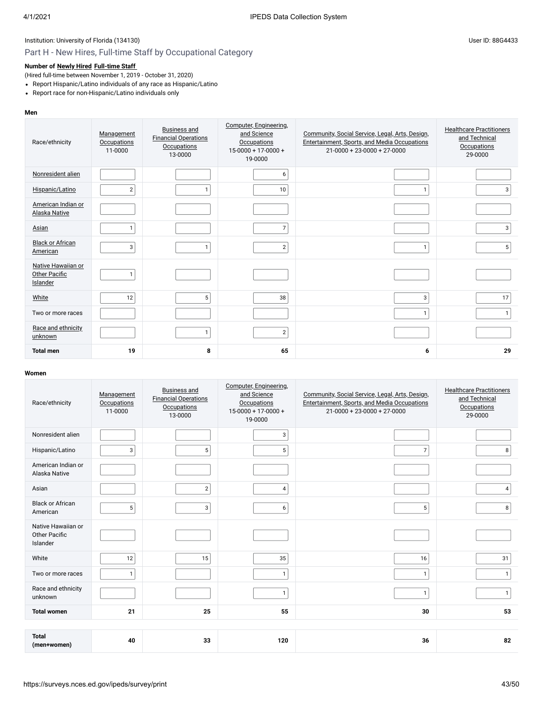# Part H - New Hires, Full-time Staff by Occupational Category

# **Number of [Newly Hired](javascript:openglossary(407)) [Full-time Staff](javascript:openglossary(257))**

(Hired full-time between November 1, 2019 - October 31, 2020)

- Report Hispanic/Latino individuals of any race as Hispanic/Latino
- Report race for non-Hispanic/Latino individuals only

#### **Men**

| Race/ethnicity                                  | Management<br><b>Occupations</b><br>11-0000 | <b>Business and</b><br><b>Financial Operations</b><br>Occupations<br>13-0000 | Computer, Engineering,<br>and Science<br><b>Occupations</b><br>$15 - 0000 + 17 - 0000 +$<br>19-0000 | Community, Social Service, Legal, Arts, Design,<br>Entertainment, Sports, and Media Occupations<br>$21 - 0000 + 23 - 0000 + 27 - 0000$ | <b>Healthcare Practitioners</b><br>and Technical<br><b>Occupations</b><br>29-0000 |
|-------------------------------------------------|---------------------------------------------|------------------------------------------------------------------------------|-----------------------------------------------------------------------------------------------------|----------------------------------------------------------------------------------------------------------------------------------------|-----------------------------------------------------------------------------------|
| Nonresident alien                               |                                             |                                                                              | 6                                                                                                   |                                                                                                                                        |                                                                                   |
| Hispanic/Latino                                 | $\overline{2}$                              | $\mathbf{1}$                                                                 | 10 <sup>1</sup>                                                                                     | $\mathbf{1}$                                                                                                                           | 3                                                                                 |
| American Indian or<br>Alaska Native             |                                             |                                                                              |                                                                                                     |                                                                                                                                        |                                                                                   |
| Asian                                           | $\mathbf{1}$                                |                                                                              | $\overline{7}$                                                                                      |                                                                                                                                        | $\mathbf{3}$                                                                      |
| <b>Black or African</b><br>American             | 3                                           | $\mathbf{1}$                                                                 | $\overline{2}$                                                                                      | 1                                                                                                                                      | 5                                                                                 |
| Native Hawaiian or<br>Other Pacific<br>Islander | $\mathbf{1}$                                |                                                                              |                                                                                                     |                                                                                                                                        |                                                                                   |
| White                                           | 12                                          | 5                                                                            | 38                                                                                                  | 3                                                                                                                                      | 17                                                                                |
| Two or more races                               |                                             |                                                                              |                                                                                                     | 1                                                                                                                                      | $\mathbf{1}$                                                                      |
| Race and ethnicity<br>unknown                   |                                             | $\mathbf{1}$                                                                 | $\mathbf{2}$                                                                                        |                                                                                                                                        |                                                                                   |
| <b>Total men</b>                                | 19                                          | 8                                                                            | 65                                                                                                  | 6                                                                                                                                      | 29                                                                                |

| Race/ethnicity                                         | Management<br><b>Occupations</b><br>11-0000 | <b>Business and</b><br><b>Financial Operations</b><br><b>Occupations</b><br>13-0000 | Computer, Engineering,<br>and Science<br><b>Occupations</b><br>$15-0000 + 17-0000 +$<br>19-0000 | Community, Social Service, Legal, Arts, Design,<br>Entertainment, Sports, and Media Occupations<br>$21 - 0000 + 23 - 0000 + 27 - 0000$ | <b>Healthcare Practitioners</b><br>and Technical<br><b>Occupations</b><br>29-0000 |
|--------------------------------------------------------|---------------------------------------------|-------------------------------------------------------------------------------------|-------------------------------------------------------------------------------------------------|----------------------------------------------------------------------------------------------------------------------------------------|-----------------------------------------------------------------------------------|
| Nonresident alien                                      |                                             |                                                                                     | 3                                                                                               |                                                                                                                                        |                                                                                   |
| Hispanic/Latino                                        | 3                                           | 5                                                                                   | 5                                                                                               | $\overline{7}$                                                                                                                         | 8                                                                                 |
| American Indian or<br>Alaska Native                    |                                             |                                                                                     |                                                                                                 |                                                                                                                                        |                                                                                   |
| Asian                                                  |                                             | $\overline{2}$                                                                      | 4                                                                                               |                                                                                                                                        | 4                                                                                 |
| <b>Black or African</b><br>American                    | 5                                           | 3                                                                                   | 6                                                                                               | 5                                                                                                                                      | 8                                                                                 |
| Native Hawaiian or<br><b>Other Pacific</b><br>Islander |                                             |                                                                                     |                                                                                                 |                                                                                                                                        |                                                                                   |
| White                                                  | 12                                          | 15                                                                                  | 35                                                                                              | 16                                                                                                                                     | 31                                                                                |
| Two or more races                                      | $\mathbf{1}$                                |                                                                                     | $\mathbf{1}$                                                                                    | $\mathbf{1}$                                                                                                                           | $\mathbf{1}$                                                                      |
| Race and ethnicity<br>unknown                          |                                             |                                                                                     | $\mathbf{1}$                                                                                    | $\mathbf{1}$                                                                                                                           | $\mathbf{1}$                                                                      |
| <b>Total women</b>                                     | 21                                          | 25                                                                                  | 55                                                                                              | 30                                                                                                                                     | 53                                                                                |
|                                                        |                                             |                                                                                     |                                                                                                 |                                                                                                                                        |                                                                                   |
| <b>Total</b><br>(men+women)                            | 40                                          | 33                                                                                  | 120                                                                                             | 36                                                                                                                                     | 82                                                                                |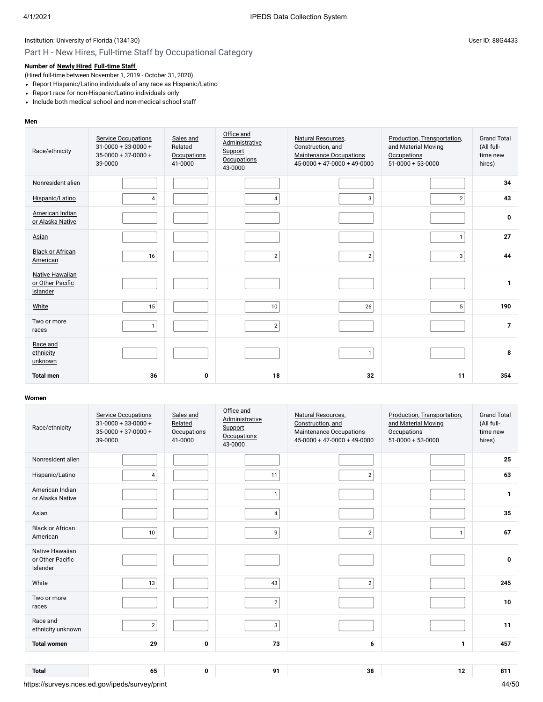# Part H - New Hires, Full-time Staff by Occupational Category

# **Number of [Newly Hired](javascript:openglossary(407)) [Full-time Staff](javascript:openglossary(257))**

(Hired full-time between November 1, 2019 - October 31, 2020)

- Report Hispanic/Latino individuals of any race as Hispanic/Latino
- Report race for non-Hispanic/Latino individuals only
- Include both medical school and non-medical school staff

#### **Men**

| Race/ethnicity                                         | <b>Service Occupations</b><br>$31 - 0000 + 33 - 0000 +$<br>$35 - 0000 + 37 - 0000 +$<br>39-0000 | Sales and<br>Related<br>Occupations<br>41-0000 | Office and<br><b>Administrative</b><br>Support<br><b>Occupations</b><br>43-0000 | Natural Resources,<br>Construction, and<br><b>Maintenance Occupations</b><br>$45-0000 + 47-0000 + 49-0000$ | Production, Transportation,<br>and Material Moving<br>Occupations<br>$51-0000+53-0000$ | <b>Grand Total</b><br>(All full-<br>time new<br>hires) |
|--------------------------------------------------------|-------------------------------------------------------------------------------------------------|------------------------------------------------|---------------------------------------------------------------------------------|------------------------------------------------------------------------------------------------------------|----------------------------------------------------------------------------------------|--------------------------------------------------------|
| Nonresident alien                                      |                                                                                                 |                                                |                                                                                 |                                                                                                            |                                                                                        | 34                                                     |
| Hispanic/Latino                                        | 4                                                                                               |                                                | 4                                                                               | 3                                                                                                          | $\overline{2}$                                                                         | 43                                                     |
| American Indian<br>or Alaska Native                    |                                                                                                 |                                                |                                                                                 |                                                                                                            |                                                                                        | 0                                                      |
| Asian                                                  |                                                                                                 |                                                |                                                                                 |                                                                                                            | $\mathbf{1}$                                                                           | 27                                                     |
| <b>Black or African</b><br>American                    | 16                                                                                              |                                                | $\overline{2}$                                                                  | $\overline{2}$                                                                                             | 3                                                                                      | 44                                                     |
| <b>Native Hawaiian</b><br>or Other Pacific<br>Islander |                                                                                                 |                                                |                                                                                 |                                                                                                            |                                                                                        | $\mathbf{1}$                                           |
| White                                                  | 15                                                                                              |                                                | 10                                                                              | 26                                                                                                         | 5 <sup>5</sup>                                                                         | 190                                                    |
| Two or more<br>races                                   | $\mathbf{1}$                                                                                    |                                                | 2                                                                               |                                                                                                            |                                                                                        | $\overline{7}$                                         |
| Race and<br>ethnicity<br>unknown                       |                                                                                                 |                                                |                                                                                 | $\mathbf{1}$                                                                                               |                                                                                        | 8                                                      |
| <b>Total men</b>                                       | 36                                                                                              | 0                                              | 18                                                                              | 32                                                                                                         | 11                                                                                     | 354                                                    |

| Race/ethnicity                                  | <b>Service Occupations</b><br>$31 - 0000 + 33 - 0000 +$<br>$35 - 0000 + 37 - 0000 +$<br>39-0000 | Sales and<br>Related<br><b>Occupations</b><br>41-0000 | Office and<br>Administrative<br>Support<br><b>Occupations</b><br>43-0000 | Natural Resources,<br>Construction, and<br><b>Maintenance Occupations</b><br>$45-0000 + 47-0000 + 49-0000$ | Production, Transportation,<br>and Material Moving<br><b>Occupations</b><br>$51-0000 + 53-0000$ | <b>Grand Total</b><br>(All full-<br>time new<br>hires) |
|-------------------------------------------------|-------------------------------------------------------------------------------------------------|-------------------------------------------------------|--------------------------------------------------------------------------|------------------------------------------------------------------------------------------------------------|-------------------------------------------------------------------------------------------------|--------------------------------------------------------|
| Nonresident alien                               |                                                                                                 |                                                       |                                                                          |                                                                                                            |                                                                                                 | 25                                                     |
| Hispanic/Latino                                 | $\overline{4}$                                                                                  |                                                       | 11                                                                       | $\overline{2}$                                                                                             |                                                                                                 | 63                                                     |
| American Indian<br>or Alaska Native             |                                                                                                 |                                                       | $\mathbf{1}$                                                             |                                                                                                            |                                                                                                 | $\mathbf{1}$                                           |
| Asian                                           |                                                                                                 |                                                       | 4                                                                        |                                                                                                            |                                                                                                 | 35                                                     |
| <b>Black or African</b><br>American             | 10                                                                                              |                                                       | 9                                                                        | $\overline{2}$                                                                                             | $\mathbf{1}$                                                                                    | 67                                                     |
| Native Hawaiian<br>or Other Pacific<br>Islander |                                                                                                 |                                                       |                                                                          |                                                                                                            |                                                                                                 | $\mathbf 0$                                            |
| White                                           | 13                                                                                              |                                                       | 43                                                                       | $\overline{2}$                                                                                             |                                                                                                 | 245                                                    |
| Two or more<br>races                            |                                                                                                 |                                                       | $\overline{2}$                                                           |                                                                                                            |                                                                                                 | 10                                                     |
| Race and<br>ethnicity unknown                   | $\overline{2}$                                                                                  |                                                       | 3                                                                        |                                                                                                            |                                                                                                 | 11                                                     |
| <b>Total women</b>                              | 29                                                                                              | $\mathbf 0$                                           | 73                                                                       | 6                                                                                                          | 1                                                                                               | 457                                                    |
|                                                 |                                                                                                 |                                                       |                                                                          |                                                                                                            |                                                                                                 |                                                        |
| <b>Total</b>                                    | 65                                                                                              | $\mathbf 0$                                           | 91                                                                       | 38                                                                                                         | 12                                                                                              | 811                                                    |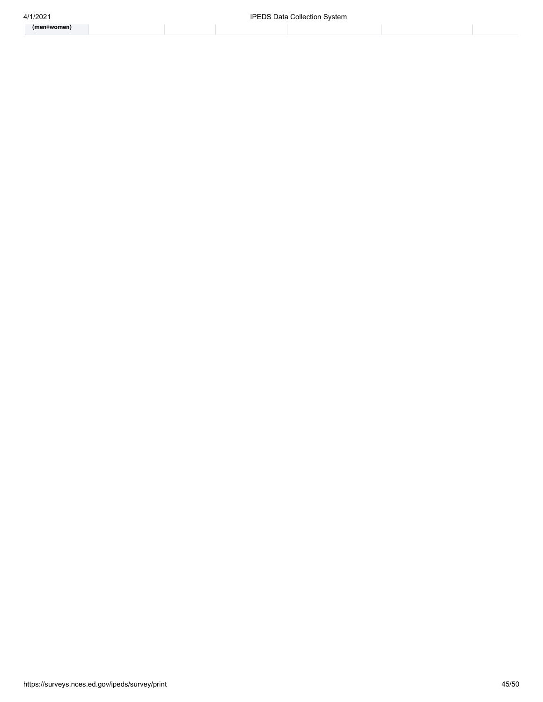**(men+women)**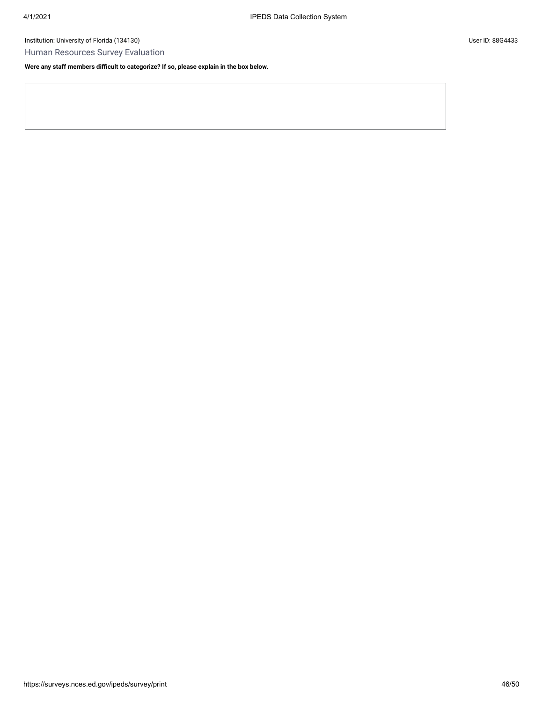Human Resources Survey Evaluation

**Were any staff members difficult to categorize? If so, please explain in the box below.**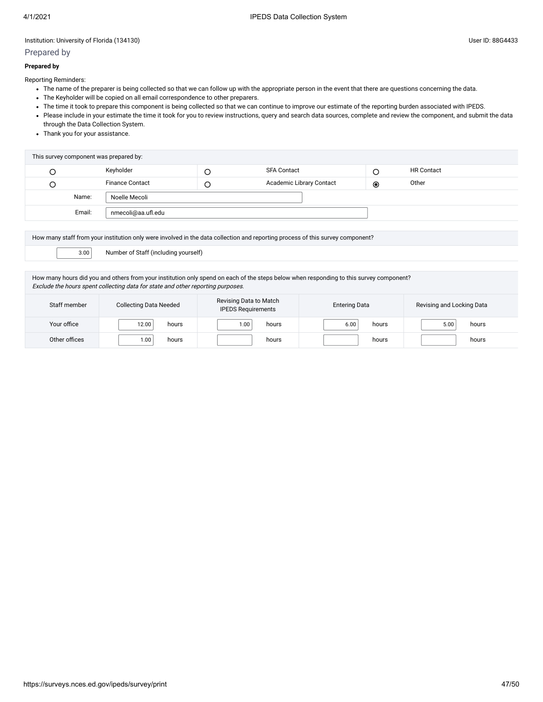## Prepared by

#### **Prepared by**

Reporting Reminders:

- The name of the preparer is being collected so that we can follow up with the appropriate person in the event that there are questions concerning the data.
- The Keyholder will be copied on all email correspondence to other preparers.
- The time it took to prepare this component is being collected so that we can continue to improve our estimate of the reporting burden associated with IPEDS.
- Please include in your estimate the time it took for you to review instructions, query and search data sources, complete and review the component, and submit the data through the Data Collection System.
- Thank you for your assistance.

|   | This survey component was prepared by: |   |                          |                |                   |  |
|---|----------------------------------------|---|--------------------------|----------------|-------------------|--|
| C | Keyholder                              | ╰ | <b>SFA Contact</b>       |                | <b>HR Contact</b> |  |
| C | <b>Finance Contact</b>                 | ◡ | Academic Library Contact | $\circledcirc$ | Other             |  |
|   | Name:<br>Noelle Mecoli                 |   |                          |                |                   |  |
|   | Email:<br>nmecoli@aa.ufl.edu           |   |                          |                |                   |  |
|   |                                        |   |                          |                |                   |  |

| How many staff from your institution only were involved in the data collection and reporting process of this survey component?          |  |  |  |
|-----------------------------------------------------------------------------------------------------------------------------------------|--|--|--|
| 3.00<br>Number of Staff (including yourself)                                                                                            |  |  |  |
|                                                                                                                                         |  |  |  |
| How many hours did you and others from your institution only spend on each of the steps below when responding to this survey component? |  |  |  |

Exclude the hours spent collecting data for state and other reporting purposes.

| Staff member  | <b>Collecting Data Needed</b> | Revising Data to Match<br><b>IPEDS Requirements</b> | <b>Entering Data</b> | Revising and Locking Data |
|---------------|-------------------------------|-----------------------------------------------------|----------------------|---------------------------|
| Your office   | $12.00 +$<br>hours            | 0.00<br>hours                                       | 6.00<br>hours        | 5.00<br>hours             |
| Other offices | 00.١<br>hours                 | hours                                               | hours                | hours                     |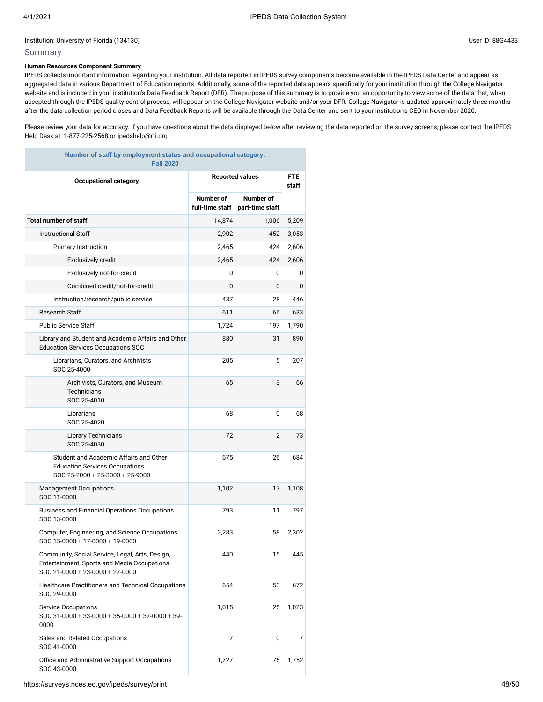#### Summary

#### **Human Resources Component Summary**

IPEDS collects important information regarding your institution. All data reported in IPEDS survey components become available in the IPEDS Data Center and appear as aggregated data in various Department of Education reports. Additionally, some of the reported data appears specifically for your institution through the College Navigator website and is included in your institution's Data Feedback Report (DFR). The purpose of this summary is to provide you an opportunity to view some of the data that, when accepted through the IPEDS quality control process, will appear on the College Navigator website and/or your DFR. College Navigator is updated approximately three months after the data collection period closes and Data Feedback Reports will be available through the Data [Center](https://nces.ed.gov/ipeds/use-the-data) and sent to your institution's CEO in November 2020.

Please review your data for accuracy. If you have questions about the data displayed below after reviewing the data reported on the survey screens, please contact the IPEDS Help Desk at: 1-877-225-2568 or [ipedshelp@rti.org.](mailto:ipedshelp@rti.org)

| Number of staff by employment status and occupational category:<br><b>Fall 2020</b>                                               |                              |                              |                     |
|-----------------------------------------------------------------------------------------------------------------------------------|------------------------------|------------------------------|---------------------|
| <b>Occupational category</b>                                                                                                      |                              | <b>Reported values</b>       | <b>FTE</b><br>staff |
|                                                                                                                                   | Number of<br>full-time staff | Number of<br>part-time staff |                     |
| <b>Total number of staff</b>                                                                                                      | 14,874                       | 1,006                        | 15,209              |
| <b>Instructional Staff</b>                                                                                                        | 2,902                        | 452                          | 3,053               |
| <b>Primary Instruction</b>                                                                                                        | 2,465                        | 424                          | 2,606               |
| <b>Exclusively credit</b>                                                                                                         | 2,465                        | 424                          | 2,606               |
| Exclusively not-for-credit                                                                                                        | 0                            | 0                            | 0                   |
| Combined credit/not-for-credit                                                                                                    | 0                            | 0                            | 0                   |
| Instruction/research/public service                                                                                               | 437                          | 28                           | 446                 |
| <b>Research Staff</b>                                                                                                             | 611                          | 66                           | 633                 |
| <b>Public Service Staff</b>                                                                                                       | 1,724                        | 197                          | 1,790               |
| Library and Student and Academic Affairs and Other<br><b>Education Services Occupations SOC</b>                                   | 880                          | 31                           | 890                 |
| Librarians, Curators, and Archivists<br>SOC 25-4000                                                                               | 205                          | 5                            | 207                 |
| Archivists, Curators, and Museum<br><b>Technicians</b><br>SOC 25-4010                                                             | 65                           | 3                            | 66                  |
| Librarians<br>SOC 25-4020                                                                                                         | 68                           | 0                            | 68                  |
| <b>Library Technicians</b><br>SOC 25-4030                                                                                         | 72                           | $\overline{2}$               | 73                  |
| Student and Academic Affairs and Other<br><b>Education Services Occupations</b><br>SOC 25-2000 + 25-3000 + 25-9000                | 675                          | 26                           | 684                 |
| <b>Management Occupations</b><br>SOC 11-0000                                                                                      | 1,102                        | 17                           | 1,108               |
| Business and Financial Operations Occupations<br>SOC 13-0000                                                                      | 793                          | 11                           | 797                 |
| Computer, Engineering, and Science Occupations<br>SOC 15-0000 + 17-0000 + 19-0000                                                 | 2,283                        | 58                           | 2,302               |
| Community, Social Service, Legal, Arts, Design,<br>Entertainment, Sports and Media Occupations<br>SOC 21-0000 + 23-0000 + 27-0000 | 440                          | 15                           | 445                 |
| Healthcare Practitioners and Technical Occupations<br>SOC 29-0000                                                                 | 654                          | 53                           | 672                 |
| <b>Service Occupations</b><br>SOC 31-0000 + 33-0000 + 35-0000 + 37-0000 + 39-<br>0000                                             | 1,015                        | 25                           | 1,023               |
| Sales and Related Occupations<br>SOC 41-0000                                                                                      | 7                            | 0                            | 7                   |
| Office and Administrative Support Occupations<br>SOC 43-0000                                                                      | 1,727                        | 76                           | 1,752               |

https://surveys.nces.ed.gov/ipeds/survey/print 48/50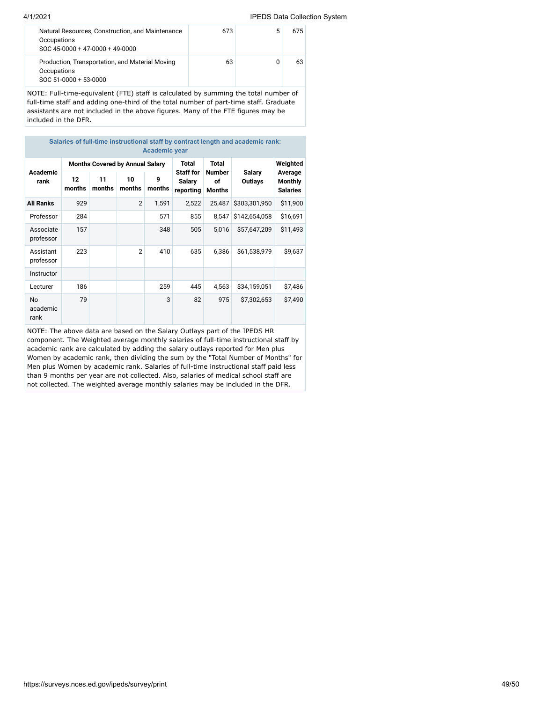#### 4/1/2021 IPEDS Data Collection System

| Occupations<br>SOC 45-0000 + 47-0000 + 49-0000                                          |    |    |
|-----------------------------------------------------------------------------------------|----|----|
| Production, Transportation, and Material Moving<br>Occupations<br>SOC 51-0000 + 53-0000 | 63 | 63 |

NOTE: Full-time-equivalent (FTE) staff is calculated by summing the total number of full-time staff and adding one-third of the total number of part-time staff. Graduate assistants are not included in the above figures. Many of the FTE figures may be included in the DFR.

| Salaries of full-time instructional staff by contract length and academic rank:<br><b>Academic year</b> |                                        |              |                |             |                                         |                               |                   |                                       |  |  |  |
|---------------------------------------------------------------------------------------------------------|----------------------------------------|--------------|----------------|-------------|-----------------------------------------|-------------------------------|-------------------|---------------------------------------|--|--|--|
| <b>Academic</b><br>rank                                                                                 | <b>Months Covered by Annual Salary</b> |              |                |             | Total                                   | Total                         |                   | Weighted                              |  |  |  |
|                                                                                                         | 12<br>months                           | 11<br>months | 10<br>months   | 9<br>months | <b>Staff for</b><br>Salary<br>reporting | <b>Number</b><br>of<br>Months | Salary<br>Outlays | Average<br>Monthly<br><b>Salaries</b> |  |  |  |
| <b>All Ranks</b>                                                                                        | 929                                    |              | $\overline{2}$ | 1,591       | 2,522                                   | 25,487                        | \$303,301,950     | \$11,900                              |  |  |  |
| Professor                                                                                               | 284                                    |              |                | 571         | 855                                     | 8.547                         | \$142,654,058     | \$16,691                              |  |  |  |
| Associate<br>professor                                                                                  | 157                                    |              |                | 348         | 505                                     | 5,016                         | \$57,647,209      | \$11,493                              |  |  |  |
| Assistant<br>professor                                                                                  | 223                                    |              | $\overline{2}$ | 410         | 635                                     | 6,386                         | \$61,538,979      | \$9,637                               |  |  |  |
| Instructor                                                                                              |                                        |              |                |             |                                         |                               |                   |                                       |  |  |  |
| Lecturer                                                                                                | 186                                    |              |                | 259         | 445                                     | 4,563                         | \$34,159,051      | \$7,486                               |  |  |  |
| <b>No</b><br>academic<br>rank                                                                           | 79                                     |              |                | 3           | 82                                      | 975                           | \$7,302,653       | \$7,490                               |  |  |  |

NOTE: The above data are based on the Salary Outlays part of the IPEDS HR component. The Weighted average monthly salaries of full-time instructional staff by academic rank are calculated by adding the salary outlays reported for Men plus Women by academic rank, then dividing the sum by the "Total Number of Months" for Men plus Women by academic rank. Salaries of full-time instructional staff paid less than 9 months per year are not collected. Also, salaries of medical school staff are not collected. The weighted average monthly salaries may be included in the DFR.